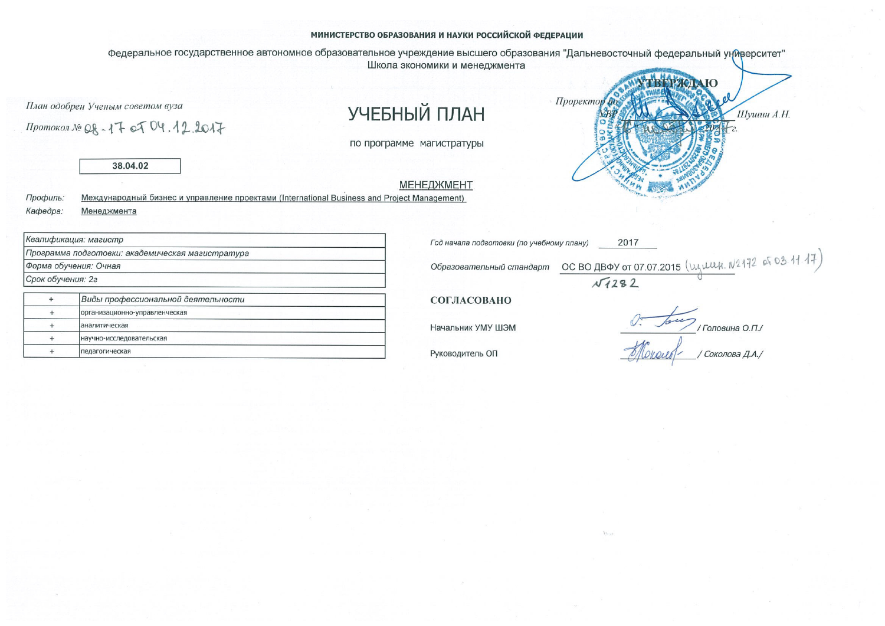#### МИНИСТЕРСТВО ОБРАЗОВАНИЯ И НАУКИ РОССИЙСКОЙ ФЕДЕРАЦИИ

Федеральное государственное автономное образовательное учреждение высшего образования "Дальневосточный федеральный университет" Школа экономики и менеджмента

План одобрен Ученым советом вуза

Протокол № QR-17 of  $04.12.2017$ 

# УЧЕБНЫЙ ПЛАН

по программе магистратуры

**МЕНЕДЖМЕНТ** 



Международный бизнес и управление проектами (International Business and Project Management) Профиль: Кафедра: Менеджмента

|           | Ю |            |
|-----------|---|------------|
| Проректор |   | Шушин А.Н. |
| m         |   | c.         |
|           |   |            |

|                   | Квалификация: магистр                            |
|-------------------|--------------------------------------------------|
|                   | Программа подготовки: академическая магистратура |
|                   | Форма обучения: Очная                            |
| Срок обучения: 2г |                                                  |
|                   | Виды профессиональной деятельности               |
|                   | организационно-управленческая                    |
|                   | аналитическая                                    |
|                   | научно-исследовательская                         |
|                   | педагогическая                                   |

2017 Год начала подготовки (по учебному плану) OC BO ABOY OT 07.07.2015 (Wyelly N2172 of 03.1117) Образовательный стандарт  $\sqrt{1282}$ 

СОГЛАСОВАНО

Начальник УМУ ШЭМ

Руководитель ОП

/Головина О.П. / Соколова Д.А./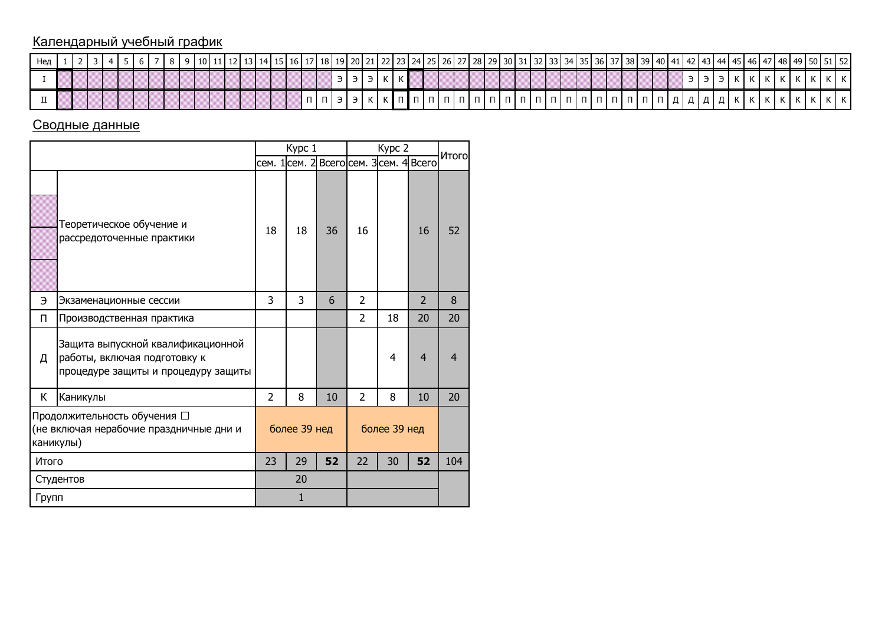## Календарный учебный график

| Нед |  |  |  |  |  |  |  |  |        |  |  |  |  |        |  |  |  | 10  11  12  13  14  15  16  17  18  19  20  21  22  23  24  25  26  27  28  29  30  31  32  33  34  35  36  37  38  39  40  41  42  43  44  45  46  47  48  49  50  51  52 |  |  |                                                                                                                                                       |  |  |                             |              |  |  |
|-----|--|--|--|--|--|--|--|--|--------|--|--|--|--|--------|--|--|--|----------------------------------------------------------------------------------------------------------------------------------------------------------------------------|--|--|-------------------------------------------------------------------------------------------------------------------------------------------------------|--|--|-----------------------------|--------------|--|--|
|     |  |  |  |  |  |  |  |  |        |  |  |  |  |        |  |  |  |                                                                                                                                                                            |  |  |                                                                                                                                                       |  |  | $\sim$ $\sim$ $\sim$ $\sim$ | $\mathbf{N}$ |  |  |
|     |  |  |  |  |  |  |  |  | $\Box$ |  |  |  |  | $\Box$ |  |  |  | 1                                                                                                                                                                          |  |  | $\ldots$ $\lceil \Pi \rceil \Pi \rceil \Pi \rceil \Pi \rceil \mathcal{A} \rceil \mathcal{A} \rceil \mathcal{A} \rceil \mathcal{A} \rceil \mathcal{B}$ |  |  |                             |              |  |  |

## Сводные данные

|       |                                                                                                          |    | Kypc 1       |    |                | Kypc 2                                  |                | Итого          |
|-------|----------------------------------------------------------------------------------------------------------|----|--------------|----|----------------|-----------------------------------------|----------------|----------------|
|       |                                                                                                          |    |              |    |                | сем. 1 сем. 2 Всего сем. 3 сем. 4 Всего |                |                |
|       | Теоретическое обучение и<br>рассредоточенные практики                                                    | 18 | 18           | 36 | 16             |                                         | 16             | 52             |
| Э     | Экзаменационные сессии                                                                                   | 3  | 3            | 6  | $\overline{2}$ |                                         | $\overline{2}$ | 8              |
| П     | Производственная практика                                                                                |    |              |    | $\mathcal{P}$  | 18                                      | 20             | 20             |
| д     | Защита выпускной квалификационной<br>работы, включая подготовку к<br>процедуре защиты и процедуру защиты |    |              |    |                | 4                                       | $\overline{4}$ | $\overline{4}$ |
| К     | Каникулы                                                                                                 | 2  | 8            | 10 | $\overline{2}$ | 8                                       | 10             | 20             |
|       | Продолжительность обучения □<br>(не включая нерабочие праздничные дни и<br>каникулы)                     |    | более 39 нед |    |                | более 39 нед                            |                |                |
| Итого |                                                                                                          | 23 | 29           | 52 | 22             | 30                                      | 52             | 104            |
|       | Студентов                                                                                                |    | 20           |    |                |                                         |                |                |
| Групп |                                                                                                          |    | $\mathbf{1}$ |    |                |                                         |                |                |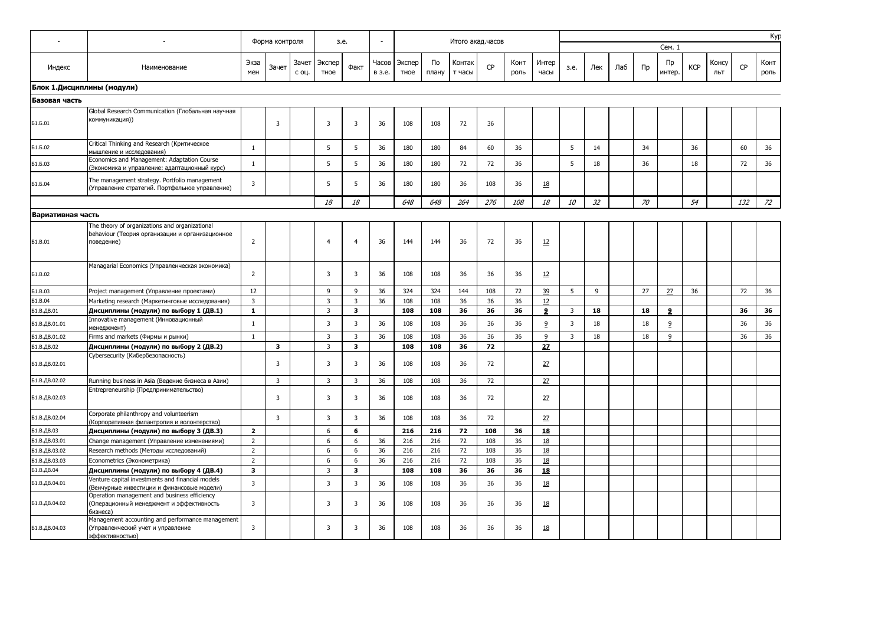|                            |                                                                                                                 |                | Форма контроля |                | 3.e.           |                         |                 |                |             | Итого акад.часов |           |              |               |      |     |     |       |                      |            |              |     | Kyp          |
|----------------------------|-----------------------------------------------------------------------------------------------------------------|----------------|----------------|----------------|----------------|-------------------------|-----------------|----------------|-------------|------------------|-----------|--------------|---------------|------|-----|-----|-------|----------------------|------------|--------------|-----|--------------|
|                            |                                                                                                                 |                |                |                |                |                         |                 |                |             |                  |           |              |               |      |     |     |       | Сем. 1               |            |              |     |              |
| Индекс                     | Наименование                                                                                                    | Экза<br>мен    | Зачет          | Зачет<br>с оц. | Экспер<br>тное | Факт                    | Часов<br>в з.е. | Экспер<br>тное | По<br>плану | Контак<br>т часы | <b>CP</b> | Конт<br>роль | Интер<br>часы | 3.e. | Лек | Лаб | $\Pi$ | $\n  np\n$<br>интер. | <b>KCP</b> | Консу<br>ЛЬТ | CP  | Конт<br>роль |
| Блок 1.Дисциплины (модули) |                                                                                                                 |                |                |                |                |                         |                 |                |             |                  |           |              |               |      |     |     |       |                      |            |              |     |              |
| Базовая часть              |                                                                                                                 |                |                |                |                |                         |                 |                |             |                  |           |              |               |      |     |     |       |                      |            |              |     |              |
|                            | Global Research Communication (Глобальная научная                                                               |                |                |                |                |                         |                 |                |             |                  |           |              |               |      |     |     |       |                      |            |              |     |              |
| Б1.Б.01                    | коммуникация))                                                                                                  |                | 3              |                | 3              | 3                       | 36              | 108            | 108         | 72               | 36        |              |               |      |     |     |       |                      |            |              |     |              |
| Б1.Б.02                    | Critical Thinking and Research (Критическое<br>мышление и исследования)                                         | $\mathbf{1}$   |                |                | 5              | 5                       | 36              | 180            | 180         | 84               | 60        | 36           |               | 5    | 14  |     | 34    |                      | 36         |              | 60  | 36           |
| Б1.Б.03                    | Economics and Management: Adaptation Course<br>(Экономика и управление: адаптационный курс)                     | $\mathbf{1}$   |                |                | 5              | 5                       | 36              | 180            | 180         | 72               | 72        | 36           |               | 5    | 18  |     | 36    |                      | 18         |              | 72  | 36           |
| Б1.Б.04                    | The management strategy. Portfolio management<br>(Управление стратегий. Портфельное управление)                 | 3              |                |                | 5              | 5                       | 36              | 180            | 180         | 36               | 108       | 36           | 18            |      |     |     |       |                      |            |              |     |              |
|                            |                                                                                                                 |                |                |                | 18             | 18                      |                 | 648            | 648         | 264              | 276       | 108          | 18            | 10   | 32  |     | 70    |                      | 54         |              | 132 | $Z^2$        |
| Вариативная часть          |                                                                                                                 |                |                |                |                |                         |                 |                |             |                  |           |              |               |      |     |     |       |                      |            |              |     |              |
| 51.B.01                    | The theory of organizations and organizational<br>behaviour (Теория организации и организационное<br>поведение) | $\overline{2}$ |                |                | $\overline{4}$ | $\overline{4}$          | 36              | 144            | 144         | 36               | 72        | 36           | 12            |      |     |     |       |                      |            |              |     |              |
| 51.B.02                    | Managarial Economics (Управленческая экономика)                                                                 | $\overline{2}$ |                |                | 3              | 3                       | 36              | 108            | 108         | 36               | 36        | 36           | 12            |      |     |     |       |                      |            |              |     |              |
| <b>51.B.03</b>             | Project management (Управление проектами)                                                                       | 12             |                |                | 9              | 9                       | 36              | 324            | 324         | 144              | 108       | 72           | 39            | 5    | 9   |     | 27    | 27                   | 36         |              | 72  | 36           |
| 51.B.04                    | Marketing research (Маркетинговые исследования)                                                                 | 3              |                |                | $\overline{3}$ | $\overline{\mathbf{3}}$ | 36              | 108            | 108         | 36               | 36        | 36           | 12            |      |     |     |       |                      |            |              |     |              |
| Б1.В.ДВ.01                 | Дисциплины (модули) по выбору 1 (ДВ.1)                                                                          | $\mathbf{1}$   |                |                | 3              | $\mathbf{3}$            |                 | 108            | 108         | 36               | 36        | 36           | 9             | 3    | 18  |     | 18    | 9                    |            |              | 36  | 36           |
| Б1.В.ДВ.01.01              | Innovative management (Инновационный<br>менеджмент)                                                             | $\mathbf{1}$   |                |                | $\overline{3}$ | $\overline{3}$          | 36              | 108            | 108         | 36               | 36        | 36           | 9             | 3    | 18  |     | 18    | 9                    |            |              | 36  | 36           |
| Б1.В.ДВ.01.02              | Firms and markets (Фирмы и рынки)                                                                               | $\mathbf{1}$   |                |                | 3              | 3                       | 36              | 108            | 108         | 36               | 36        | 36           | 9             | 3    | 18  |     | 18    | 9                    |            |              | 36  | 36           |
| Б1.В.ДВ.02                 | Дисциплины (модули) по выбору 2 (ДВ.2)                                                                          |                | 3              |                | $\overline{3}$ | $\overline{\mathbf{3}}$ |                 | 108            | 108         | 36               | 72        |              | 27            |      |     |     |       |                      |            |              |     |              |
| Б1.В.ДВ.02.01              | Cybersecurity (Кибербезопасность)                                                                               |                | 3              |                | 3              | 3                       | 36              | 108            | 108         | 36               | 72        |              | 27            |      |     |     |       |                      |            |              |     |              |
| Б1.В.ДВ.02.02              | Running business in Asia (Ведение бизнеса в Азии)                                                               |                | 3              |                | $\overline{3}$ | 3                       | 36              | 108            | 108         | 36               | 72        |              | 27            |      |     |     |       |                      |            |              |     |              |
| Б1.В.ДВ.02.03              | Entrepreneurship (Предпринимательство)                                                                          |                | $\overline{3}$ |                | 3              | 3                       | 36              | 108            | 108         | 36               | 72        |              | 27            |      |     |     |       |                      |            |              |     |              |
| Б1.В.ДВ.02.04              | Corporate philanthropy and volunteerism<br>(Корпоративная филантропия и волонтерство)                           |                | 3              |                | 3              | 3                       | 36              | 108            | 108         | 36               | 72        |              | 27            |      |     |     |       |                      |            |              |     |              |
| Б1.В.ДВ.03                 | Дисциплины (модули) по выбору 3 (ДВ.3)                                                                          | $\overline{2}$ |                |                | 6              | 6                       |                 | 216            | 216         | 72               | 108       | 36           | 18            |      |     |     |       |                      |            |              |     |              |
| Б1.В.ДВ.03.01              | Change management (Управление изменениями)                                                                      | $\overline{2}$ |                |                | 6              | 6                       | 36              | 216            | 216         | 72               | 108       | 36           | 18            |      |     |     |       |                      |            |              |     |              |
| Б1.В.ДВ.03.02              | Research methods (Методы исследований)                                                                          | $\overline{2}$ |                |                | 6              | 6                       | 36              | 216            | 216         | 72               | 108       | 36           | 18            |      |     |     |       |                      |            |              |     |              |
| Б1.В.ДВ.03.03              | Econometrics (Эконометрика)                                                                                     | $\overline{2}$ |                |                | 6              | 6                       | 36              | 216            | 216         | 72               | 108       | 36           | 18            |      |     |     |       |                      |            |              |     |              |
| Б1.В.ДВ.04                 | Дисциплины (модули) по выбору 4 (ДВ.4)                                                                          | 3              |                |                | $\overline{3}$ | $\mathbf{3}$            |                 | 108            | 108         | 36               | 36        | 36           | 18            |      |     |     |       |                      |            |              |     |              |
| Б1.В.ДВ.04.01              | Venture capital investments and financial models<br>(Венчурные инвестиции и финансовые модели)                  | 3              |                |                | 3              | 3                       | 36              | 108            | 108         | 36               | 36        | 36           | 18            |      |     |     |       |                      |            |              |     |              |
| Б1.В.ДВ.04.02              | Operation management and business efficiency<br>(Операционный менеджмент и эффективность<br>бизнеса)            | 3              |                |                | 3              | 3                       | 36              | 108            | 108         | 36               | 36        | 36           | <u>18</u>     |      |     |     |       |                      |            |              |     |              |
| Б1.В.ДВ.04.03              | Management accounting and performance management<br>(Управленческий учет и управление<br>эффективностью)        | 3              |                |                | 3              | 3                       | 36              | 108            | 108         | 36               | 36        | 36           | <u>18</u>     |      |     |     |       |                      |            |              |     |              |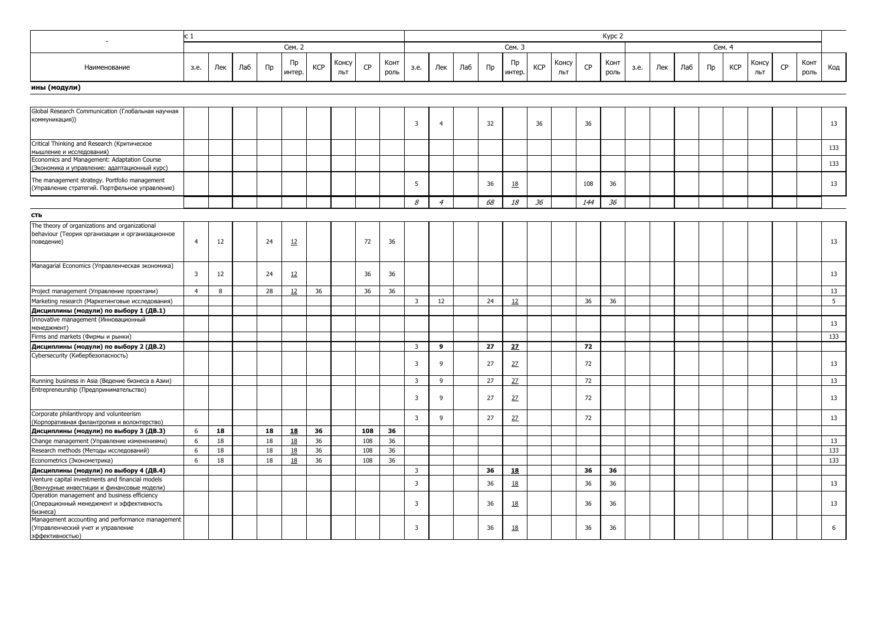|                                                                                                                 | c 1                     |        |     |    |              |            |              |     |              |                |                |     |    |              |            |              |     | Kypc 2       |      |     |     |    |            |              |    |              |     |
|-----------------------------------------------------------------------------------------------------------------|-------------------------|--------|-----|----|--------------|------------|--------------|-----|--------------|----------------|----------------|-----|----|--------------|------------|--------------|-----|--------------|------|-----|-----|----|------------|--------------|----|--------------|-----|
|                                                                                                                 |                         |        |     |    | Сем. 2       |            |              |     |              |                |                |     |    | Сем. 3       |            |              |     |              |      |     |     |    | Сем. 4     |              |    |              |     |
| Наименование                                                                                                    | 3.e.                    | Лек    | Лаб | Пр | Пp<br>интер. | <b>KCP</b> | Консу<br>ЛЬТ | CP  | Конт<br>роль | 3.e.           | Лек            | Лаб | Пр | Пр<br>интер. | <b>KCP</b> | Консу<br>ЛЬТ | CP  | Конт<br>роль | 3.e. | Лек | Лаб | Пр | <b>KCP</b> | Консу<br>ЛЬТ | CP | Конт<br>роль | Код |
| ины (модули)                                                                                                    |                         |        |     |    |              |            |              |     |              |                |                |     |    |              |            |              |     |              |      |     |     |    |            |              |    |              |     |
|                                                                                                                 |                         |        |     |    |              |            |              |     |              |                |                |     |    |              |            |              |     |              |      |     |     |    |            |              |    |              |     |
| Global Research Communication (Глобальная научная                                                               |                         |        |     |    |              |            |              |     |              |                |                |     |    |              |            |              |     |              |      |     |     |    |            |              |    |              |     |
| коммуникация))                                                                                                  |                         |        |     |    |              |            |              |     |              | 3              | $\overline{4}$ |     | 32 |              | 36         |              | 36  |              |      |     |     |    |            |              |    |              | 13  |
| Critical Thinking and Research (Критическое<br>мышление и исследования)                                         |                         |        |     |    |              |            |              |     |              |                |                |     |    |              |            |              |     |              |      |     |     |    |            |              |    |              | 133 |
| Economics and Management: Adaptation Course<br>(Экономика и управление: адаптационный курс)                     |                         |        |     |    |              |            |              |     |              |                |                |     |    |              |            |              |     |              |      |     |     |    |            |              |    |              | 133 |
| The management strategy. Portfolio management<br>(Управление стратегий. Портфельное управление)                 |                         |        |     |    |              |            |              |     |              | 5              |                |     | 36 | <u>18</u>    |            |              | 108 | 36           |      |     |     |    |            |              |    |              | 13  |
|                                                                                                                 |                         |        |     |    |              |            |              |     |              | 8              | $\overline{4}$ |     | 68 | 18           | 36         |              | 144 | 36           |      |     |     |    |            |              |    |              |     |
| сть                                                                                                             |                         |        |     |    |              |            |              |     |              |                |                |     |    |              |            |              |     |              |      |     |     |    |            |              |    |              |     |
| The theory of organizations and organizational<br>behaviour (Теория организации и организационное<br>поведение) | $\overline{4}$          | 12     |     | 24 | 12           |            |              | 72  | 36           |                |                |     |    |              |            |              |     |              |      |     |     |    |            |              |    |              | 13  |
| Managarial Economics (Управленческая экономика)                                                                 | $\overline{\mathbf{3}}$ | 12     |     | 24 | 12           |            |              | 36  | 36           |                |                |     |    |              |            |              |     |              |      |     |     |    |            |              |    |              | 13  |
| Project management (Управление проектами)                                                                       | $\overline{4}$          | 8      |     | 28 | 12           | 36         |              | 36  | 36           |                |                |     |    |              |            |              |     |              |      |     |     |    |            |              |    |              | 13  |
| Marketing research (Маркетинговые исследования)                                                                 |                         |        |     |    |              |            |              |     |              | 3              | 12             |     | 24 | 12           |            |              | 36  | 36           |      |     |     |    |            |              |    |              | 5   |
| Дисциплины (модули) по выбору 1 (ДВ.1)                                                                          |                         |        |     |    |              |            |              |     |              |                |                |     |    |              |            |              |     |              |      |     |     |    |            |              |    |              |     |
| Innovative management (Инновационный<br>менеджмент)                                                             |                         |        |     |    |              |            |              |     |              |                |                |     |    |              |            |              |     |              |      |     |     |    |            |              |    |              | 13  |
| Firms and markets (Фирмы и рынки)                                                                               |                         |        |     |    |              |            |              |     |              |                |                |     |    |              |            |              |     |              |      |     |     |    |            |              |    |              | 133 |
| Дисциплины (модули) по выбору 2 (ДВ.2)                                                                          |                         |        |     |    |              |            |              |     |              | 3              | 9              |     | 27 | 27           |            |              | 72  |              |      |     |     |    |            |              |    |              |     |
| Cybersecurity (Кибербезопасность)                                                                               |                         |        |     |    |              |            |              |     |              | 3              | 9              |     | 27 | 27           |            |              | 72  |              |      |     |     |    |            |              |    |              | 13  |
| Running business in Asia (Ведение бизнеса в Азии)                                                               |                         |        |     |    |              |            |              |     |              | 3              | 9              |     | 27 | 27           |            |              | 72  |              |      |     |     |    |            |              |    |              | 13  |
| Entrepreneurship (Предпринимательство)                                                                          |                         |        |     |    |              |            |              |     |              | 3              | 9              |     | 27 | 27           |            |              | 72  |              |      |     |     |    |            |              |    |              | 13  |
| Corporate philanthropy and volunteerism<br>(Корпоративная филантропия и волонтерство)                           |                         |        |     |    |              |            |              |     |              | $\overline{3}$ | 9              |     | 27 | 27           |            |              | 72  |              |      |     |     |    |            |              |    |              | 13  |
| Дисциплины (модули) по выбору 3 (ДВ.3)                                                                          | 6                       | 18     |     | 18 | 18           | 36         |              | 108 | 36           |                |                |     |    |              |            |              |     |              |      |     |     |    |            |              |    |              |     |
| Change management (Управление изменениями)                                                                      | 6                       | $18\,$ |     | 18 | 18           | 36         |              | 108 | 36           |                |                |     |    |              |            |              |     |              |      |     |     |    |            |              |    |              | 13  |
| Research methods (Методы исследований)                                                                          | 6                       | 18     |     | 18 | 18           | 36         |              | 108 | 36           |                |                |     |    |              |            |              |     |              |      |     |     |    |            |              |    |              | 133 |
| Econometrics (Эконометрика)                                                                                     | 6                       | 18     |     | 18 | 18           | 36         |              | 108 | 36           |                |                |     |    |              |            |              |     |              |      |     |     |    |            |              |    |              | 133 |
| Дисциплины (модули) по выбору 4 (ДВ.4)                                                                          |                         |        |     |    |              |            |              |     |              | $\overline{3}$ |                |     | 36 | 18           |            |              | 36  | 36           |      |     |     |    |            |              |    |              |     |
| Venture capital investments and financial models<br>(Венчурные инвестиции и финансовые модели)                  |                         |        |     |    |              |            |              |     |              | 3              |                |     | 36 | 18           |            |              | 36  | 36           |      |     |     |    |            |              |    |              | 13  |
| Operation management and business efficiency<br>(Операционный менеджмент и эффективность<br>бизнеса)            |                         |        |     |    |              |            |              |     |              | 3              |                |     | 36 | <u>18</u>    |            |              | 36  | 36           |      |     |     |    |            |              |    |              | 13  |
| Management accounting and performance management<br>(Управленческий учет и управление<br>эффективностью)        |                         |        |     |    |              |            |              |     |              | 3              |                |     | 36 | <u>18</u>    |            |              | 36  | 36           |      |     |     |    |            |              |    |              | 6   |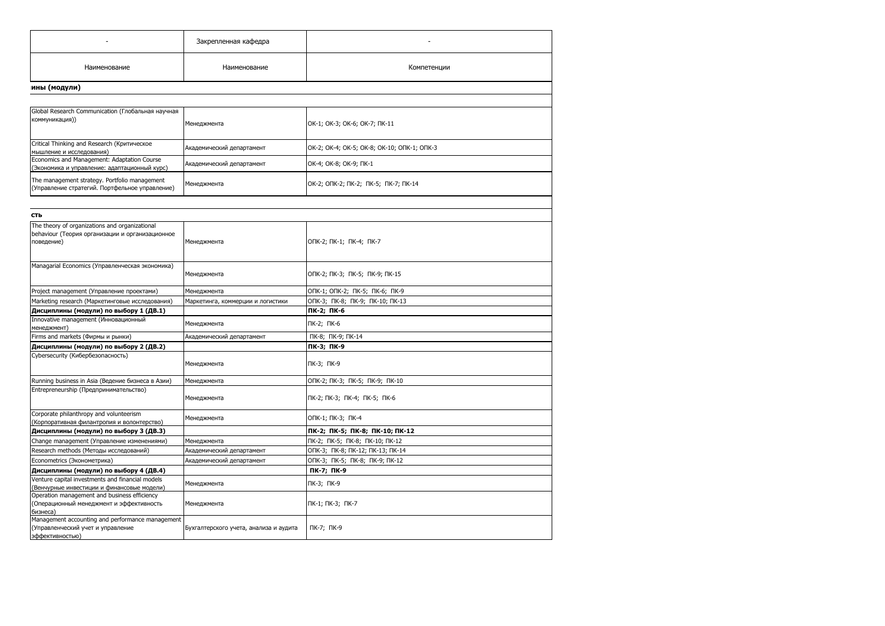|                                                                                                                                                   | Закрепленная кафедра                   |                                             |
|---------------------------------------------------------------------------------------------------------------------------------------------------|----------------------------------------|---------------------------------------------|
| Наименование                                                                                                                                      | Наименование                           | Компетенции                                 |
| ины (модули)                                                                                                                                      |                                        |                                             |
|                                                                                                                                                   |                                        |                                             |
| Global Research Communication (Глобальная научная                                                                                                 |                                        |                                             |
| коммуникация))                                                                                                                                    | Менеджмента                            | OK-1; OK-3; OK-6; OK-7; NK-11               |
| Critical Thinking and Research (Критическое<br>мышление и исследования)                                                                           | Академический департамент              | OK-2; OK-4; OK-5; OK-8; OK-10; ONK-1; ONK-3 |
| Economics and Management: Adaptation Course<br>(Экономика и управление: адаптационный курс)                                                       | Академический департамент              | OK-4; OK-8; OK-9; NK-1                      |
| The management strategy. Portfolio management<br>(Управление стратегий. Портфельное управление)                                                   | Менеджмента                            | OK-2; ONK-2; NK-2; NK-5; NK-7; NK-14        |
|                                                                                                                                                   |                                        |                                             |
| <b>СТЬ</b>                                                                                                                                        |                                        |                                             |
| The theory of organizations and organizational<br>behaviour (Теория организации и организационное<br>поведение)                                   | Менеджмента                            | ONK-2; NK-1; NK-4; NK-7                     |
| Managarial Economics (Управленческая экономика)                                                                                                   | Менеджмента                            | ONK-2; NK-3; NK-5; NK-9; NK-15              |
| Project management (Управление проектами)                                                                                                         | Менеджмента                            | ОПК-1; ОПК-2; ПК-5; ПК-6; ПК-9              |
| Marketing research (Маркетинговые исследования)                                                                                                   | Маркетинга, коммерции и логистики      | ОПК-3; ПК-8; ПК-9; ПК-10; ПК-13             |
| Дисциплины (модули) по выбору 1 (ДВ.1)                                                                                                            |                                        | ПК-2; ПК-6                                  |
| Innovative management (Инновационный<br>менеджмент)                                                                                               | Менеджмента                            | ПК-2; ПК-6                                  |
| Firms and markets (Фирмы и рынки)                                                                                                                 | Академический департамент              | ПК-8; ПК-9; ПК-14                           |
| Дисциплины (модули) по выбору 2 (ДВ.2)                                                                                                            |                                        | ПК-3; ПК-9                                  |
| Cybersecurity (Кибербезопасность)                                                                                                                 | Менеджмента                            | ПК-3; ПК-9                                  |
| Running business in Asia (Ведение бизнеса в Азии)                                                                                                 | Менеджмента                            | ОПК-2; ПК-3; ПК-5; ПК-9; ПК-10              |
| Entrepreneurship (Предпринимательство)                                                                                                            | Менеджмента                            | ПК-2; ПК-3; ПК-4; ПК-5; ПК-6                |
| Corporate philanthropy and volunteerism<br>(Корпоративная филантропия и волонтерство)                                                             | Менеджмента                            | ОПК-1; ПК-3; ПК-4                           |
| Дисциплины (модули) по выбору 3 (ДВ.3)                                                                                                            |                                        | ПК-2; ПК-5; ПК-8; ПК-10; ПК-12              |
| Change management (Управление изменениями)                                                                                                        | Менеджмента                            | ПК-2; ПК-5; ПК-8; ПК-10; ПК-12              |
| Research methods (Методы исследований)                                                                                                            | Академический департамент              | ОПК-3; ПК-8; ПК-12; ПК-13; ПК-14            |
| Econometrics (Эконометрика)                                                                                                                       | Академический департамент              | ONK-3; NK-5; NK-8; NK-9; NK-12              |
| Дисциплины (модули) по выбору 4 (ДВ.4)                                                                                                            |                                        | ПК-7; ПК-9                                  |
| Venture capital investments and financial models                                                                                                  | Менеджмента                            | ПК-3; ПК-9                                  |
| (Венчурные инвестиции и финансовые модели)<br>Operation management and business efficiency<br>Операционный менеджмент и эффективность<br>бизнеса) | Менеджмента                            | ПК-1; ПК-3; ПК-7                            |
| Management accounting and performance management<br>(Управленческий учет и управление<br>эффективностью)                                          | Бухгалтерского учета, анализа и аудита | ПК-7; ПК-9                                  |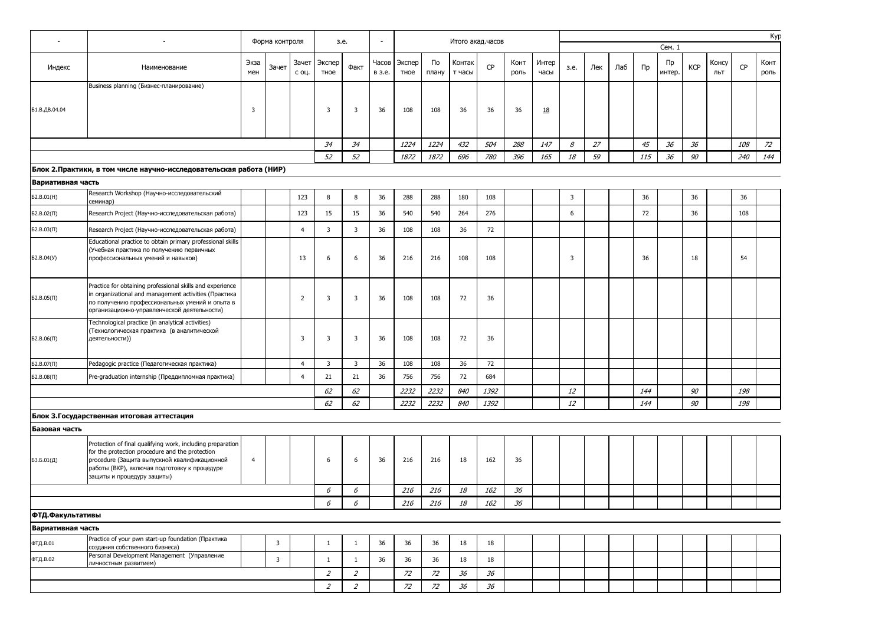|                   |                                                                                                                                                                                                                                             |                | Форма контроля |                | 3.e.                    |                         | $\overline{\phantom{a}}$ |                |             | Итого акад. часов |      |              |               |      |     |     |         |              |            |              |           | Kyp          |
|-------------------|---------------------------------------------------------------------------------------------------------------------------------------------------------------------------------------------------------------------------------------------|----------------|----------------|----------------|-------------------------|-------------------------|--------------------------|----------------|-------------|-------------------|------|--------------|---------------|------|-----|-----|---------|--------------|------------|--------------|-----------|--------------|
|                   |                                                                                                                                                                                                                                             |                |                |                |                         |                         |                          |                |             |                   |      |              |               |      |     |     |         | Сем. 1       |            |              |           |              |
| Индекс            | Наименование                                                                                                                                                                                                                                | Экза<br>мен    | Зачет          | Зачет<br>с оц. | Экспер<br>тное          | Факт                    | Часов<br>в з.е.          | Экспер<br>тное | По<br>плану | Контак<br>т часы  | CP   | Конт<br>роль | Интер<br>часы | 3.e. | Лек | Лаб | $\Pi$ p | Пp<br>интер. | <b>KCP</b> | Консу<br>ЛЬТ | <b>CP</b> | Конт<br>роль |
|                   | Business planning (Бизнес-планирование)                                                                                                                                                                                                     |                |                |                |                         |                         |                          |                |             |                   |      |              |               |      |     |     |         |              |            |              |           |              |
| Б1.В.ДВ.04.04     |                                                                                                                                                                                                                                             | 3              |                |                | 3                       | 3                       | 36                       | 108            | 108         | 36                | 36   | 36           | <u>18</u>     |      |     |     |         |              |            |              |           |              |
|                   |                                                                                                                                                                                                                                             |                |                |                | 34                      | 34                      |                          | 1224           | 1224        | 432               | 504  | 288          | 147           | 8    | 27  |     | 45      | 36           | 36         |              | 108       | 72           |
|                   |                                                                                                                                                                                                                                             |                |                |                | 52                      | 52                      |                          | 1872           | 1872        | 696               | 780  | 396          | 165           | 18   | 59  |     | 115     | 36           | 90         |              | 240       | 144          |
|                   | Блок 2. Практики, в том числе научно-исследовательская работа (НИР)                                                                                                                                                                         |                |                |                |                         |                         |                          |                |             |                   |      |              |               |      |     |     |         |              |            |              |           |              |
| Вариативная часть |                                                                                                                                                                                                                                             |                |                |                |                         |                         |                          |                |             |                   |      |              |               |      |     |     |         |              |            |              |           |              |
| 62.B.01(H)        | Research Workshop (Научно-исследовательский<br>семинар)                                                                                                                                                                                     |                |                | 123            | 8                       | 8                       | 36                       | 288            | 288         | 180               | 108  |              |               | 3    |     |     | 36      |              | 36         |              | 36        |              |
| $52.B.02(\Pi)$    | Research Project (Научно-исследовательская работа)                                                                                                                                                                                          |                |                | 123            | 15                      | 15                      | 36                       | 540            | 540         | 264               | 276  |              |               | 6    |     |     | 72      |              | 36         |              | 108       |              |
| $52.B.03(\Pi)$    | Research Project (Научно-исследовательская работа)                                                                                                                                                                                          |                |                | $\overline{4}$ | 3                       | 3                       | 36                       | 108            | 108         | 36                | 72   |              |               |      |     |     |         |              |            |              |           |              |
| 62.B.04(Y)        | Educational practice to obtain primary professional skills<br>(Учебная практика по получению первичных<br>профессиональных умений и навыков)                                                                                                |                |                | 13             | 6                       | 6                       | 36                       | 216            | 216         | 108               | 108  |              |               | 3    |     |     | 36      |              | 18         |              | 54        |              |
| $52.B.05(\Pi)$    | Practice for obtaining professional skills and experience<br>in organizational and management activities (Практика<br>по получению профессиональных умений и опыта в<br>организационно-управленческой деятельности)                         |                |                | $\overline{2}$ | $\overline{3}$          | 3                       | 36                       | 108            | 108         | 72                | 36   |              |               |      |     |     |         |              |            |              |           |              |
| $52.B.06(\Pi)$    | Technological practice (in analytical activities)<br>(Технологическая практика (в аналитической<br>деятельности))                                                                                                                           |                |                | 3              | 3                       | 3                       | 36                       | 108            | 108         | 72                | 36   |              |               |      |     |     |         |              |            |              |           |              |
| Б2.В.07(П)        | Pedagogic practice (Педагогическая практика)                                                                                                                                                                                                |                |                | $\overline{4}$ | $\overline{\mathbf{3}}$ | $\overline{\mathbf{3}}$ | 36                       | 108            | 108         | 36                | 72   |              |               |      |     |     |         |              |            |              |           |              |
| $52.B.08(\Pi)$    | Pre-graduation internship (Преддипломная практика)                                                                                                                                                                                          |                |                | $\overline{4}$ | 21                      | 21                      | 36                       | 756            | 756         | 72                | 684  |              |               |      |     |     |         |              |            |              |           |              |
|                   |                                                                                                                                                                                                                                             |                |                |                | 62                      | 62                      |                          | 2232           | 2232        | 840               | 1392 |              |               | 12   |     |     | 144     |              | 90         |              | 198       |              |
|                   |                                                                                                                                                                                                                                             |                |                |                | 62                      | 62                      |                          | 2232           | 2232        | 840               | 1392 |              |               | 12   |     |     | 144     |              | 90         |              | 198       |              |
|                   | Блок 3. Государственная итоговая аттестация                                                                                                                                                                                                 |                |                |                |                         |                         |                          |                |             |                   |      |              |               |      |     |     |         |              |            |              |           |              |
| Базовая часть     |                                                                                                                                                                                                                                             |                |                |                |                         |                         |                          |                |             |                   |      |              |               |      |     |     |         |              |            |              |           |              |
| БЗ.Б.01(Д)        | Protection of final qualifying work, including preparation<br>for the protection procedure and the protection<br>procedure (Защита выпускной квалификационной<br>работы (ВКР), включая подготовку к процедуре<br>защиты и процедуру защиты) | $\overline{4}$ |                |                | 6                       | 6                       | 36                       | 216            | 216         | 18                | 162  | 36           |               |      |     |     |         |              |            |              |           |              |
|                   |                                                                                                                                                                                                                                             |                |                |                | 6                       | 6                       |                          | 216            | 216         | 18                | 162  | 36           |               |      |     |     |         |              |            |              |           |              |
|                   |                                                                                                                                                                                                                                             |                |                |                | 6                       | 6                       |                          | 216            | 216         | 18                | 162  | 36           |               |      |     |     |         |              |            |              |           |              |
| ФТД.Факультативы  |                                                                                                                                                                                                                                             |                |                |                |                         |                         |                          |                |             |                   |      |              |               |      |     |     |         |              |            |              |           |              |
| Вариативная часть |                                                                                                                                                                                                                                             |                |                |                |                         |                         |                          |                |             |                   |      |              |               |      |     |     |         |              |            |              |           |              |
| ФТД.В.01          | Practice of your pwn start-up foundation (Практика<br>создания собственного бизнеса)                                                                                                                                                        |                | $\overline{3}$ |                | $\mathbf{1}$            | $\mathbf{1}$            | 36                       | 36             | 36          | 18                | 18   |              |               |      |     |     |         |              |            |              |           |              |
| ФТД.В.02          | Personal Development Management (Управление<br>личностным развитием)                                                                                                                                                                        |                | 3              |                | $\mathbf{1}$            | $\mathbf{1}$            | 36                       | 36             | 36          | 18                | 18   |              |               |      |     |     |         |              |            |              |           |              |
|                   |                                                                                                                                                                                                                                             |                |                |                | $\overline{z}$          | $\overline{2}$          |                          | 72             | 72          | 36                | 36   |              |               |      |     |     |         |              |            |              |           |              |
|                   |                                                                                                                                                                                                                                             |                |                |                | $\overline{z}$          | $\overline{2}$          |                          | 72             | 72          | 36                | 36   |              |               |      |     |     |         |              |            |              |           |              |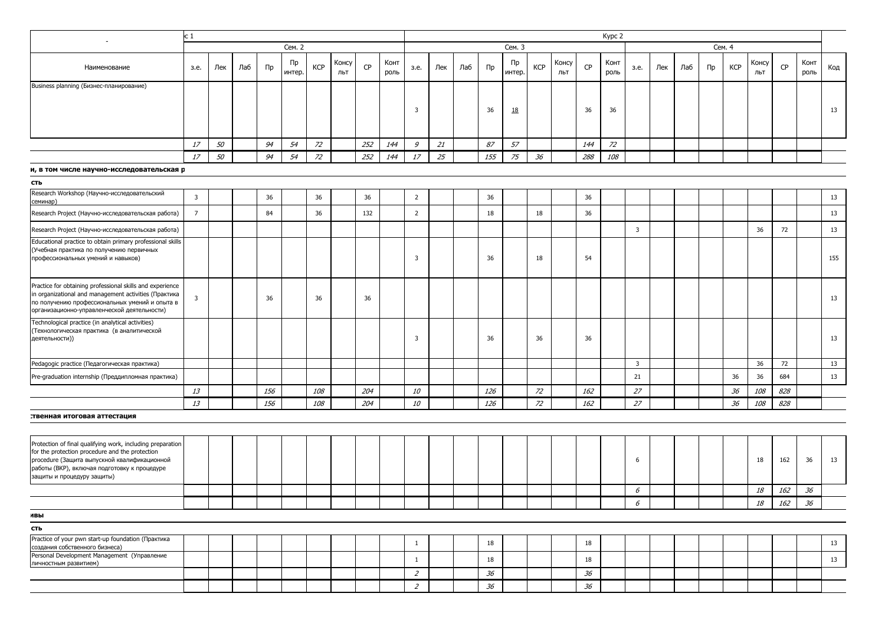|                                           | ю1   |     |     |    |                      |            |              |           |              |      |     |     |         |              |            |              |     | Kypc 2       |      |     |     |         |            |              |           |              |     |
|-------------------------------------------|------|-----|-----|----|----------------------|------------|--------------|-----------|--------------|------|-----|-----|---------|--------------|------------|--------------|-----|--------------|------|-----|-----|---------|------------|--------------|-----------|--------------|-----|
|                                           |      |     |     |    | Сем. 2               |            |              |           |              |      |     |     |         | Сем. 3       |            |              |     |              |      |     |     |         | Сем. 4     |              |           |              |     |
| Наименование                              | з.е. | Лек | Лаб | Пр | $\n  np\n$<br>интер. | <b>KCP</b> | Консу<br>ЛЬТ | <b>CP</b> | Конт<br>роль | 3.e. | Лек | Лаб | $\Pi$ p | Пр<br>интер. | <b>KCP</b> | Консу<br>ЛЬТ | CP  | Конт<br>роль | з.е. | Лек | Лаб | $\Pi$ p | <b>KCP</b> | Консу<br>ЛЬТ | <b>CP</b> | Конт<br>роль | Код |
| Business planning (Бизнес-планирование)   |      |     |     |    |                      |            |              |           |              |      |     |     |         |              |            |              |     |              |      |     |     |         |            |              |           |              |     |
|                                           |      |     |     |    |                      |            |              |           |              |      |     |     | 36      | <u>10</u>    |            |              | 36  | 36           |      |     |     |         |            |              |           |              | 13  |
|                                           |      |     |     |    |                      |            |              |           |              |      |     |     |         |              |            |              |     |              |      |     |     |         |            |              |           |              |     |
|                                           | 17   | 50  |     | 94 | 54                   | 72         |              | 252       | 144          | 9    | 21  |     | 87      | 57           |            |              | 144 | 72           |      |     |     |         |            |              |           |              |     |
|                                           | 17   | 50  |     | 94 | 54                   | 72         |              | 252       | 144          | 17   | 25  |     | 155     | 75           | 36         |              | 288 | 108          |      |     |     |         |            |              |           |              |     |
| и, в том числе научно-исследовательская р |      |     |     |    |                      |            |              |           |              |      |     |     |         |              |            |              |     |              |      |     |     |         |            |              |           |              |     |

| <b>LID</b>                                                                                                                                                                                                          |                |  |     |     |     |                |  |     |    |     |    |  |    |            |     |     |
|---------------------------------------------------------------------------------------------------------------------------------------------------------------------------------------------------------------------|----------------|--|-----|-----|-----|----------------|--|-----|----|-----|----|--|----|------------|-----|-----|
| Research Workshop (Научно-исследовательский<br>семинар)                                                                                                                                                             |                |  | 36  | 36  | 36  | $\overline{2}$ |  | 36  |    | 36  |    |  |    |            |     | 13  |
| Research Project (Научно-исследовательская работа)                                                                                                                                                                  | $\overline{7}$ |  | 84  | 36  | 132 | $\overline{2}$ |  | 18  | 18 | 36  |    |  |    |            |     | 13  |
| Research Project (Научно-исследовательская работа)                                                                                                                                                                  |                |  |     |     |     |                |  |     |    |     | 3  |  |    | 36         | 72  | 13  |
| Educational practice to obtain primary professional skills<br>(Учебная практика по получению первичных<br>профессиональных умений и навыков)                                                                        |                |  |     |     |     |                |  | 36  | 18 | 54  |    |  |    |            |     | 155 |
| Practice for obtaining professional skills and experience<br>in organizational and management activities (Практика<br>по получению профессиональных умений и опыта в<br>организационно-управленческой деятельности) |                |  | 36  | 36  | 36  |                |  |     |    |     |    |  |    |            |     | 13  |
| Technological practice (in analytical activities)<br>(Технологическая практика (в аналитической<br>деятельности))                                                                                                   |                |  |     |     |     | 3              |  | 36  | 36 | 36  |    |  |    |            |     | 13  |
| Pedagogic practice (Педагогическая практика)                                                                                                                                                                        |                |  |     |     |     |                |  |     |    |     | 3  |  |    | 36         | 72  | 13  |
| Pre-graduation internship (Преддипломная практика)                                                                                                                                                                  |                |  |     |     |     |                |  |     |    |     | 21 |  | 36 | 36         | 684 | 13  |
|                                                                                                                                                                                                                     | 13             |  | 156 | 108 | 204 | <i>10</i>      |  | 126 | 72 | 162 | 27 |  | 36 | 108        | 828 |     |
|                                                                                                                                                                                                                     | 13             |  | 156 | 108 | 204 | <i>10</i>      |  | 126 | 72 | 162 | 27 |  | 36 | <i>108</i> | 828 |     |

#### твенная итоговая аттестация

 $\overline{a}$ 

| Protection of final qualifying work, including preparation<br>for the protection procedure and the protection<br>procedure (Защита выпускной квалификационной<br>работы (ВКР), включая подготовку к процедуре<br>защиты и процедуру защиты) |  |  |  |  |  |  |    |  |    |   |  |  | 18 | 162 | 36 | 13 |
|---------------------------------------------------------------------------------------------------------------------------------------------------------------------------------------------------------------------------------------------|--|--|--|--|--|--|----|--|----|---|--|--|----|-----|----|----|
|                                                                                                                                                                                                                                             |  |  |  |  |  |  |    |  |    | D |  |  | 18 | 162 | 36 |    |
|                                                                                                                                                                                                                                             |  |  |  |  |  |  |    |  |    | D |  |  | 18 | 162 | 36 |    |
| ивы                                                                                                                                                                                                                                         |  |  |  |  |  |  |    |  |    |   |  |  |    |     |    |    |
| сть                                                                                                                                                                                                                                         |  |  |  |  |  |  |    |  |    |   |  |  |    |     |    |    |
| Practice of your pwn start-up foundation (Практика<br>создания собственного бизнеса)                                                                                                                                                        |  |  |  |  |  |  | 18 |  | ΤC |   |  |  |    |     |    | 13 |
| Personal Development Management (Управление<br>личностным развитием)                                                                                                                                                                        |  |  |  |  |  |  | 18 |  |    |   |  |  |    |     |    | 13 |
|                                                                                                                                                                                                                                             |  |  |  |  |  |  | 36 |  | 36 |   |  |  |    |     |    |    |
|                                                                                                                                                                                                                                             |  |  |  |  |  |  | 36 |  | 36 |   |  |  |    |     |    |    |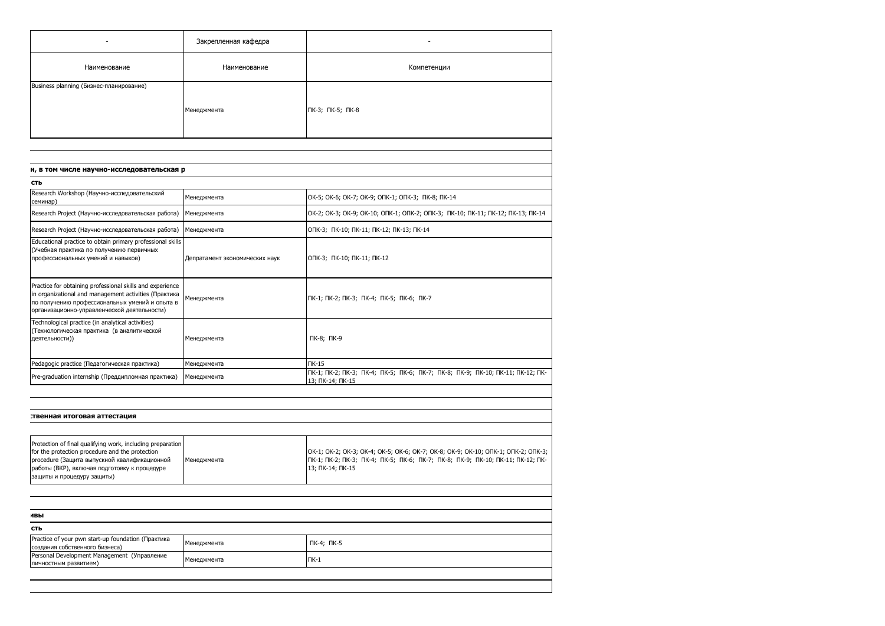|                                                                                                                                                                                                                                             | Закрепленная кафедра           |                                                                                                                                                                                         |
|---------------------------------------------------------------------------------------------------------------------------------------------------------------------------------------------------------------------------------------------|--------------------------------|-----------------------------------------------------------------------------------------------------------------------------------------------------------------------------------------|
| Наименование                                                                                                                                                                                                                                | Наименование                   | Компетенции                                                                                                                                                                             |
| Business planning (Бизнес-планирование)                                                                                                                                                                                                     |                                |                                                                                                                                                                                         |
|                                                                                                                                                                                                                                             | Менеджмента                    | ПК-3; ПК-5; ПК-8                                                                                                                                                                        |
|                                                                                                                                                                                                                                             |                                |                                                                                                                                                                                         |
|                                                                                                                                                                                                                                             |                                |                                                                                                                                                                                         |
| и, в том числе научно-исследовательская р                                                                                                                                                                                                   |                                |                                                                                                                                                                                         |
| сть                                                                                                                                                                                                                                         |                                |                                                                                                                                                                                         |
| Research Workshop (Научно-исследовательский<br>семинар)                                                                                                                                                                                     | Менеджмента                    | OK-5; OK-6; OK-7; OK-9; ONK-1; ONK-3; NK-8; NK-14                                                                                                                                       |
| Research Project (Научно-исследовательская работа)                                                                                                                                                                                          | Менеджмента                    | OK-2; OK-3; OK-9; OK-10; ONK-1; ONK-2; ONK-3; NK-10; NK-11; NK-12; NK-13; NK-14                                                                                                         |
| Research Project (Научно-исследовательская работа)                                                                                                                                                                                          | Менеджмента                    | ОПК-3; ПК-10; ПК-11; ПК-12; ПК-13; ПК-14                                                                                                                                                |
| Educational practice to obtain primary professional skills<br>(Учебная практика по получению первичных<br>профессиональных умений и навыков)                                                                                                | Депратамент экономических наук | ОПК-3; ПК-10; ПК-11; ПК-12                                                                                                                                                              |
| Practice for obtaining professional skills and experience<br>in organizational and management activities (Практика<br>по получению профессиональных умений и опыта в<br>организационно-управленческой деятельности)                         | Менеджмента                    | ПК-1; ПК-2; ПК-3; ПК-4; ПК-5; ПК-6; ПК-7                                                                                                                                                |
| Technological practice (in analytical activities)<br>(Технологическая практика (в аналитической<br>деятельности))                                                                                                                           | Менеджмента                    | ПК-8; ПК-9                                                                                                                                                                              |
| Pedagogic practice (Педагогическая практика)                                                                                                                                                                                                | Менеджмента                    | $TK-15$                                                                                                                                                                                 |
| Pre-graduation internship (Преддипломная практика)                                                                                                                                                                                          | Менеджмента                    | ПК-1; ПК-2; ПК-3; ПК-4; ПК-5; ПК-6; ПК-7; ПК-8; ПК-9; ПК-10; ПК-11; ПК-12; ПК-<br>13; ПК-14; ПК-15                                                                                      |
|                                                                                                                                                                                                                                             |                                |                                                                                                                                                                                         |
| твенная итоговая аттестация:                                                                                                                                                                                                                |                                |                                                                                                                                                                                         |
|                                                                                                                                                                                                                                             |                                |                                                                                                                                                                                         |
| Protection of final qualifying work, including preparation<br>for the protection procedure and the protection<br>procedure (Защита выпускной квалификационной<br>работы (ВКР), включая подготовку к процедуре<br>защиты и процедуру защиты) | Менеджмента                    | OK-1; OK-2; OK-3; OK-4; OK-5; OK-6; OK-7; OK-8; OK-9; OK-10; OTK-1; OTK-2; OTK-3;<br>ПК-1; ПК-2; ПК-3; ПК-4; ПК-5; ПК-6; ПК-7; ПК-8; ПК-9; ПК-10; ПК-11; ПК-12; ПК-<br>13; ПК-14; ПК-15 |
|                                                                                                                                                                                                                                             |                                |                                                                                                                                                                                         |
| ивы                                                                                                                                                                                                                                         |                                |                                                                                                                                                                                         |
| сть                                                                                                                                                                                                                                         |                                |                                                                                                                                                                                         |
| Practice of your pwn start-up foundation (Практика<br>создания собственного бизнеса)                                                                                                                                                        | Менеджмента                    | ПК-4; ПК-5                                                                                                                                                                              |
| Personal Development Management (Управление<br>личностным развитием)                                                                                                                                                                        | Менеджмента                    | ПК-1                                                                                                                                                                                    |
|                                                                                                                                                                                                                                             |                                |                                                                                                                                                                                         |
|                                                                                                                                                                                                                                             |                                |                                                                                                                                                                                         |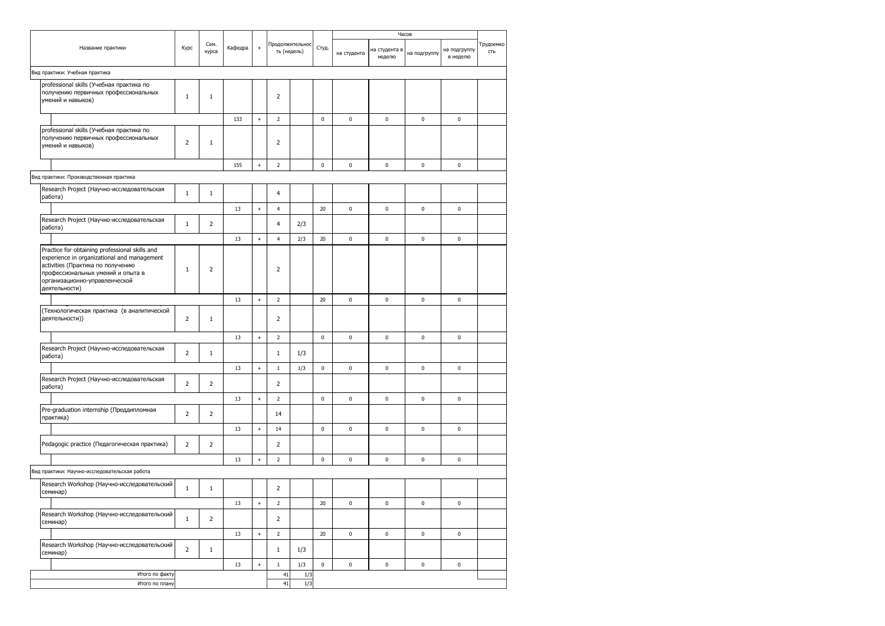|  |                                                                                                                                                                                                                           |                |                |         |                                  |                                |            |             | Часов       |                         |              |                          |                  |
|--|---------------------------------------------------------------------------------------------------------------------------------------------------------------------------------------------------------------------------|----------------|----------------|---------|----------------------------------|--------------------------------|------------|-------------|-------------|-------------------------|--------------|--------------------------|------------------|
|  | Название практики                                                                                                                                                                                                         | Kypc           | Сем.<br>курса  | Кафедра | $\ddot{}$                        | Продолжительнос<br>ть (недель) |            | Студ.       | на студента | на студента в<br>неделю | на подгруппу | на подгруппу<br>в неделю | Трудоемко<br>СТЬ |
|  | Вид практики: Учебная практика                                                                                                                                                                                            |                |                |         |                                  |                                |            |             |             |                         |              |                          |                  |
|  | professional skills (Учебная практика по<br>получению первичных профессиональных<br>умений и навыков)                                                                                                                     | $\mathbf 1$    | $1\,$          |         |                                  | $\overline{2}$                 |            |             |             |                         |              |                          |                  |
|  |                                                                                                                                                                                                                           |                |                | 133     | $+$                              | $\overline{2}$                 |            | $\mathbf 0$ | $\pmb{0}$   | $\pmb{0}$               | 0            | $\pmb{0}$                |                  |
|  | professional skills (Учебная практика по<br>получению первичных профессиональных<br>умений и навыков)                                                                                                                     | $\overline{2}$ | $\mathbf{1}$   |         |                                  | $\overline{2}$                 |            |             |             |                         |              |                          |                  |
|  |                                                                                                                                                                                                                           |                |                | 155     | $^+$                             | $\overline{2}$                 |            | $\pmb{0}$   | $\pmb{0}$   | $\pmb{0}$               | 0            | $\pmb{0}$                |                  |
|  | Вид практики: Производственная практика                                                                                                                                                                                   |                |                |         |                                  |                                |            |             |             |                         |              |                          |                  |
|  | Research Project (Научно-исследовательская<br>работа)                                                                                                                                                                     | $\mathbf 1$    | $\mathbf{1}$   |         |                                  | $\overline{4}$                 |            |             |             |                         |              |                          |                  |
|  |                                                                                                                                                                                                                           |                |                | 13      | $+$                              | 4                              |            | 20          | $\pmb{0}$   | $\pmb{0}$               | 0            | $\pmb{0}$                |                  |
|  | Research Project (Научно-исследовательская<br>работа)                                                                                                                                                                     | $\mathbf 1$    | $\overline{2}$ |         |                                  | $\overline{4}$                 | 2/3        |             |             |                         |              |                          |                  |
|  |                                                                                                                                                                                                                           |                |                | 13      | $+$                              | $\overline{4}$                 | 2/3        | 20          | $\pmb{0}$   | $\pmb{0}$               | 0            | $\pmb{0}$                |                  |
|  | Practice for obtaining professional skills and<br>experience in organizational and management<br>activities (Практика по получению<br>профессиональных умений и опыта в<br>организационно-управленческой<br>деятельности) | $\mathbf 1$    | $\mathbf 2$    |         |                                  | $\overline{2}$                 |            |             |             |                         |              |                          |                  |
|  |                                                                                                                                                                                                                           |                |                | 13      | $+$                              | $\overline{2}$                 |            | 20          | $\pmb{0}$   | $\pmb{0}$               | 0            | $\pmb{0}$                |                  |
|  | (Технологическая практика (в аналитической<br>деятельности))                                                                                                                                                              | $\overline{2}$ | $\mathbf{1}$   |         |                                  | $\overline{2}$                 |            |             |             |                         |              |                          |                  |
|  |                                                                                                                                                                                                                           |                |                | 13      | $+$                              | $\overline{2}$                 |            | $\pmb{0}$   | $\pmb{0}$   | $\pmb{0}$               | 0            | $\pmb{0}$                |                  |
|  | Research Project (Научно-исследовательская<br>работа)                                                                                                                                                                     | $\overline{2}$ | $\mathbf{1}$   |         |                                  | $\mathbf{1}$                   | 1/3        |             |             |                         |              |                          |                  |
|  |                                                                                                                                                                                                                           |                |                | 13      | $+$                              | $\mathbf{1}$                   | 1/3        | $\mathbf 0$ | $\pmb{0}$   | $\pmb{0}$               | 0            | $\pmb{0}$                |                  |
|  | Research Project (Научно-исследовательская<br>работа)                                                                                                                                                                     | $\overline{2}$ | $\overline{2}$ |         |                                  | $\overline{2}$                 |            |             |             |                         |              |                          |                  |
|  |                                                                                                                                                                                                                           |                |                | 13      | $\begin{array}{c} + \end{array}$ | $\overline{2}$                 |            | $\pmb{0}$   | $\bf{0}$    | $\bf{0}$                | $\pmb{0}$    | $\pmb{0}$                |                  |
|  | Pre-graduation internship (Преддипломная<br>практика)                                                                                                                                                                     | 2              | $\overline{2}$ |         |                                  | 14                             |            |             |             |                         |              |                          |                  |
|  |                                                                                                                                                                                                                           |                |                | 13      | $^{+}$                           | 14                             |            | 0           | 0           | 0                       | 0            | 0                        |                  |
|  | Pedagogic practice (Педагогическая практика)                                                                                                                                                                              | $\overline{2}$ | $\overline{2}$ |         |                                  | $\overline{2}$                 |            |             |             |                         |              |                          |                  |
|  |                                                                                                                                                                                                                           |                |                | 13      | $+$                              | $\overline{2}$                 |            | $\pmb{0}$   | $\pmb{0}$   | $\pmb{0}$               | 0            | $\pmb{0}$                |                  |
|  | Вид практики: Научно-исследовательская работа                                                                                                                                                                             |                |                |         |                                  |                                |            |             |             |                         |              |                          |                  |
|  | Research Workshop (Научно-исследовательский<br>семинар)                                                                                                                                                                   | $\mathbf 1$    | $\mathbf{1}$   |         |                                  | $\overline{2}$                 |            |             |             |                         |              |                          |                  |
|  |                                                                                                                                                                                                                           |                |                | 13      | $\begin{array}{c} + \end{array}$ | 2                              |            | 20          | 0           | 0                       | 0            | 0                        |                  |
|  | Research Workshop (Научно-исследовательский<br>семинар)                                                                                                                                                                   | $\mathbf 1$    | $\overline{2}$ |         |                                  | 2                              |            |             |             |                         |              |                          |                  |
|  |                                                                                                                                                                                                                           |                |                | 13      | $^+$                             | $\overline{2}$                 |            | 20          | $\bf{0}$    | $\bf{0}$                | $\pmb{0}$    | $\pmb{0}$                |                  |
|  | Research Workshop (Научно-исследовательский<br>семинар)                                                                                                                                                                   | $\overline{2}$ | $\mathbf{1}$   |         |                                  | $\mathbf{1}$                   | 1/3        |             |             |                         |              |                          |                  |
|  |                                                                                                                                                                                                                           |                |                | 13      | $+$                              | $\mathbf{1}$                   | 1/3        | $\pmb{0}$   | $\pmb{0}$   | $\pmb{0}$               | $\pmb{0}$    | $\pmb{0}$                |                  |
|  | Итого по факту<br>Итого по плану                                                                                                                                                                                          |                |                |         |                                  | 41<br>41                       | 1/3<br>1/3 |             |             |                         |              |                          |                  |
|  |                                                                                                                                                                                                                           |                |                |         |                                  |                                |            |             |             |                         |              |                          |                  |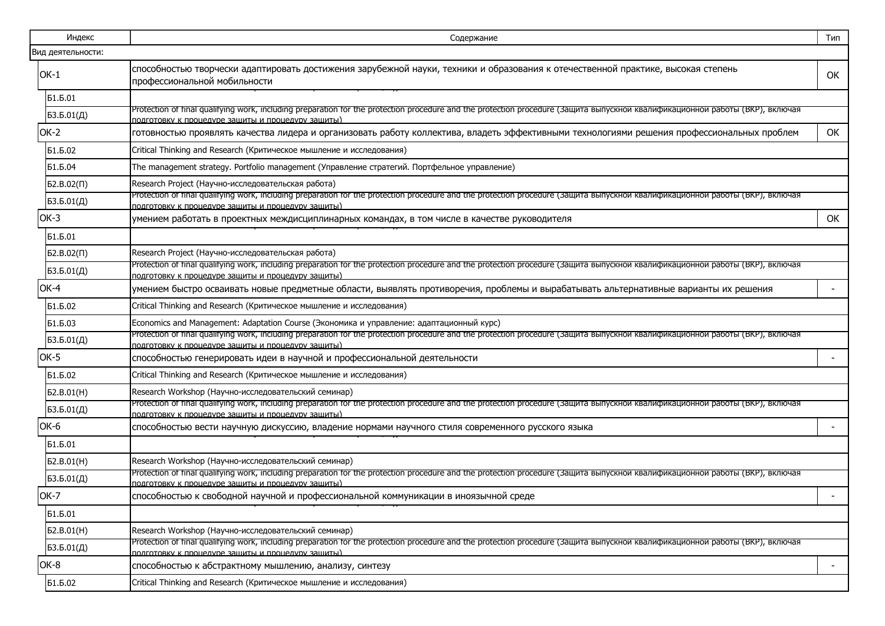| Индекс            | Содержание                                                                                                                                                                                                                          | Тип |  |  |  |  |  |  |  |  |  |
|-------------------|-------------------------------------------------------------------------------------------------------------------------------------------------------------------------------------------------------------------------------------|-----|--|--|--|--|--|--|--|--|--|
| Вид деятельности: |                                                                                                                                                                                                                                     |     |  |  |  |  |  |  |  |  |  |
| $OK-1$            | способностью творчески адаптировать достижения зарубежной науки, техники и образования к отечественной практике, высокая степень<br>профессиональной мобильности                                                                    | OK  |  |  |  |  |  |  |  |  |  |
| Б1.Б.01           |                                                                                                                                                                                                                                     |     |  |  |  |  |  |  |  |  |  |
| 53.5.01(Д)        | Protection of final qualifying work, including preparation for the protection procedure and the protection procedure (Защита выпускнои квалификационнои работы (ВКР), включая<br>подготовку к процедуре защиты и процедуру защиты)  |     |  |  |  |  |  |  |  |  |  |
| OK-2              | готовностью проявлять качества лидера и организовать работу коллектива, владеть эффективными технологиями решения профессиональных проблем                                                                                          | OK  |  |  |  |  |  |  |  |  |  |
| Б1.Б.02           | Critical Thinking and Research (Критическое мышление и исследования)                                                                                                                                                                |     |  |  |  |  |  |  |  |  |  |
| Б1.Б.04           | The management strategy. Portfolio management (Управление стратегий. Портфельное управление)                                                                                                                                        |     |  |  |  |  |  |  |  |  |  |
| $52.B.02(\Pi)$    | Research Project (Научно-исследовательская работа)                                                                                                                                                                                  |     |  |  |  |  |  |  |  |  |  |
| 53.5.01(Д)        | Protection of final qualifying work, including preparation for the protection procedure and the protection procedure (Защита выпускнои квалификационнои работы (ВКР), включая<br>подготовку к процедуре защиты и процедуру защиты)  |     |  |  |  |  |  |  |  |  |  |
| $OK-3$            | умением работать в проектных междисциплинарных командах, в том числе в качестве руководителя                                                                                                                                        | OK  |  |  |  |  |  |  |  |  |  |
| Б1.Б.01           |                                                                                                                                                                                                                                     |     |  |  |  |  |  |  |  |  |  |
| $52.B.02(\Pi)$    | Research Project (Научно-исследовательская работа)                                                                                                                                                                                  |     |  |  |  |  |  |  |  |  |  |
| 53.5.01(Д)        | Protection of final qualifying work, including preparation for the protection procedure and the protection procedure (Защита выпускной квалификационной работы (ВКР), включая<br>подготовку к процедуре защиты и процедуру защиты)  |     |  |  |  |  |  |  |  |  |  |
| OK-4              | умением быстро осваивать новые предметные области, выявлять противоречия, проблемы и вырабатывать альтернативные варианты их решения                                                                                                |     |  |  |  |  |  |  |  |  |  |
| Б1.Б.02           | Critical Thinking and Research (Критическое мышление и исследования)                                                                                                                                                                |     |  |  |  |  |  |  |  |  |  |
| Б1.Б.03           | Economics and Management: Adaptation Course (Экономика и управление: адаптационный курс)                                                                                                                                            |     |  |  |  |  |  |  |  |  |  |
| 53.5.01(Д)        | Protection of final qualifying work, including preparation for the protection procedure and the protection procedure (Защита выпускнои квалификационнои работы (ВКР), включая<br>подготовку к процедуре защиты и процедуру защиты)  |     |  |  |  |  |  |  |  |  |  |
| OK-5              | способностью генерировать идеи в научной и профессиональной деятельности                                                                                                                                                            |     |  |  |  |  |  |  |  |  |  |
| Б1.Б.02           | Critical Thinking and Research (Критическое мышление и исследования)                                                                                                                                                                |     |  |  |  |  |  |  |  |  |  |
| 52.B.01(H)        | Research Workshop (Научно-исследовательский семинар)                                                                                                                                                                                |     |  |  |  |  |  |  |  |  |  |
| 53.5.01(Д)        | Protection of final qualifying work, including preparation for the protection procedure and the protection procedure (защита выпускнои квалификационнои работы (ВКР), включая<br>полготовку к процелуре защиты и процелуру защиты). |     |  |  |  |  |  |  |  |  |  |
| OK-6              | способностью вести научную дискуссию, владение нормами научного стиля современного русского языка                                                                                                                                   |     |  |  |  |  |  |  |  |  |  |
| Б1.Б.01           |                                                                                                                                                                                                                                     |     |  |  |  |  |  |  |  |  |  |
| 52.B.01(H)        | Research Workshop (Научно-исследовательский семинар)                                                                                                                                                                                |     |  |  |  |  |  |  |  |  |  |
| 53.5.01(Д)        | Protection of final qualifying work, including preparation for the protection procedure and the protection procedure (защита выпускнои квалификационнои работы (ВКР), включая<br>подготовку к процедуре защиты и процедуру защиты)  |     |  |  |  |  |  |  |  |  |  |
| <b>OK-7</b>       | способностью к свободной научной и профессиональной коммуникации в иноязычной среде                                                                                                                                                 |     |  |  |  |  |  |  |  |  |  |
| Б1.Б.01           |                                                                                                                                                                                                                                     |     |  |  |  |  |  |  |  |  |  |
| Б2.В.01(H)        | Research Workshop (Научно-исследовательский семинар)                                                                                                                                                                                |     |  |  |  |  |  |  |  |  |  |
| 53.5.01(Д)        | Protection of final qualifying work, including preparation for the protection procedure and the protection procedure (Защита выпускнои квалификационнои работы (ВКР), включая<br>полготовку к процелуре защиты и процелуру защиты)  |     |  |  |  |  |  |  |  |  |  |
| OK-8              | способностью к абстрактному мышлению, анализу, синтезу                                                                                                                                                                              |     |  |  |  |  |  |  |  |  |  |
| Б1.Б.02           | Critical Thinking and Research (Критическое мышление и исследования)                                                                                                                                                                |     |  |  |  |  |  |  |  |  |  |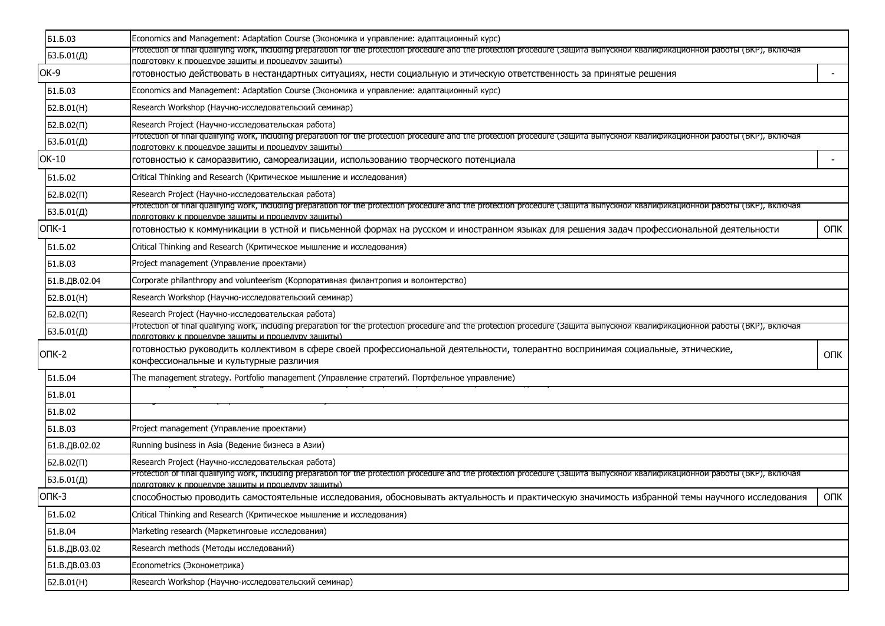| Б1.Б.03        | Economics and Management: Adaptation Course (Экономика и управление: адаптационный курс)                                                                                                                                            |                          |  |  |  |  |  |  |  |
|----------------|-------------------------------------------------------------------------------------------------------------------------------------------------------------------------------------------------------------------------------------|--------------------------|--|--|--|--|--|--|--|
| 53.5.01(Д)     | Protection of final qualifying work, including preparation for the protection procedure and the protection procedure (Защита выпускнои квалификационнои работы (ВКР), включая<br>подготовку к процедуре защиты и процедуру защиты)  |                          |  |  |  |  |  |  |  |
| OK-9           | готовностью действовать в нестандартных ситуациях, нести социальную и этическую ответственность за принятые решения                                                                                                                 | $\overline{\phantom{a}}$ |  |  |  |  |  |  |  |
| Б1.Б.03        | Economics and Management: Adaptation Course (Экономика и управление: адаптационный курс)                                                                                                                                            |                          |  |  |  |  |  |  |  |
| 52.B.01(H)     | Research Workshop (Научно-исследовательский семинар)                                                                                                                                                                                |                          |  |  |  |  |  |  |  |
| $52.B.02(\Pi)$ | Research Project (Научно-исследовательская работа)                                                                                                                                                                                  |                          |  |  |  |  |  |  |  |
| БЗ.Б.01(Д)     | Protection of final qualifying work, including preparation for the protection procedure and the protection procedure (Защита выпускнои квалификационнои работы (ВКР), включая<br>подготовку к процедуре защиты и процедуру защиты)  |                          |  |  |  |  |  |  |  |
| OK-10          | готовностью к саморазвитию, самореализации, использованию творческого потенциала                                                                                                                                                    | $\overline{\phantom{a}}$ |  |  |  |  |  |  |  |
| Б1.Б.02        | Critical Thinking and Research (Критическое мышление и исследования)                                                                                                                                                                |                          |  |  |  |  |  |  |  |
| $52.B.02(\Pi)$ | Research Project (Научно-исследовательская работа)                                                                                                                                                                                  |                          |  |  |  |  |  |  |  |
| БЗ.Б.01(Д)     | Protection of final qualifying work, including preparation for the protection procedure and the protection procedure (защита выпускнои квалификационнои работы (ВКР), включая<br>подготовку к процедуре защиты и процедуру защиты). |                          |  |  |  |  |  |  |  |
| $OIIK-1$       | готовностью к коммуникации в устной и письменной формах на русском и иностранном языках для решения задач профессиональной деятельности                                                                                             | <b>ONK</b>               |  |  |  |  |  |  |  |
| Б1.Б.02        | Critical Thinking and Research (Критическое мышление и исследования)                                                                                                                                                                |                          |  |  |  |  |  |  |  |
| <b>51.B.03</b> | Project management (Управление проектами)                                                                                                                                                                                           |                          |  |  |  |  |  |  |  |
| Б1.В.ДВ.02.04  | Corporate philanthropy and volunteerism (Корпоративная филантропия и волонтерство)                                                                                                                                                  |                          |  |  |  |  |  |  |  |
| 52.B.01(H)     | Research Workshop (Научно-исследовательский семинар)                                                                                                                                                                                |                          |  |  |  |  |  |  |  |
| $52.B.02(\Pi)$ | Research Project (Научно-исследовательская работа)                                                                                                                                                                                  |                          |  |  |  |  |  |  |  |
| 53.5.01(Д)     | Protection of final qualifying work, including preparation for the protection procedure and the protection procedure (защита выпускнои квалификационнои работы (ВКР), включая<br>подготовку к процедуре защиты и процедуру защиты)  |                          |  |  |  |  |  |  |  |
| $OTK-2$        | готовностью руководить коллективом в сфере своей профессиональной деятельности, толерантно воспринимая социальные, этнические,<br>конфессиональные и культурные различия                                                            | <b>ONK</b>               |  |  |  |  |  |  |  |
| Б1.Б.04        | The management strategy. Portfolio management (Управление стратегий. Портфельное управление)                                                                                                                                        |                          |  |  |  |  |  |  |  |
| <b>51.B.01</b> |                                                                                                                                                                                                                                     |                          |  |  |  |  |  |  |  |
| <b>51.B.02</b> |                                                                                                                                                                                                                                     |                          |  |  |  |  |  |  |  |
| <b>Б1.В.03</b> | Project management (Управление проектами)                                                                                                                                                                                           |                          |  |  |  |  |  |  |  |
| Б1.В.ДВ.02.02  | Running business in Asia (Ведение бизнеса в Азии)                                                                                                                                                                                   |                          |  |  |  |  |  |  |  |
| $52.B.02(\Pi)$ | Research Project (Научно-исследовательская работа)                                                                                                                                                                                  |                          |  |  |  |  |  |  |  |
| БЗ.Б.01(Д)     | Protection of final qualifying work, including preparation for the protection procedure and the protection procedure (Защита выпускнои квалификационнои работы (ВКР), включая<br>подготовку к процедуре защиты и процедуру защиты)  |                          |  |  |  |  |  |  |  |
| $OTK-3$        | способностью проводить самостоятельные исследования, обосновывать актуальность и практическую значимость избранной темы научного исследования                                                                                       | <b>ONK</b>               |  |  |  |  |  |  |  |
| Б1.Б.02        | Critical Thinking and Research (Критическое мышление и исследования)                                                                                                                                                                |                          |  |  |  |  |  |  |  |
| <b>Б1.В.04</b> | Marketing research (Маркетинговые исследования)                                                                                                                                                                                     |                          |  |  |  |  |  |  |  |
| Б1.В.ДВ.03.02  | Research methods (Методы исследований)                                                                                                                                                                                              |                          |  |  |  |  |  |  |  |
| Б1.В.ДВ.03.03  | Econometrics (Эконометрика)                                                                                                                                                                                                         |                          |  |  |  |  |  |  |  |
| Б2.В.01(H)     | Research Workshop (Научно-исследовательский семинар)                                                                                                                                                                                |                          |  |  |  |  |  |  |  |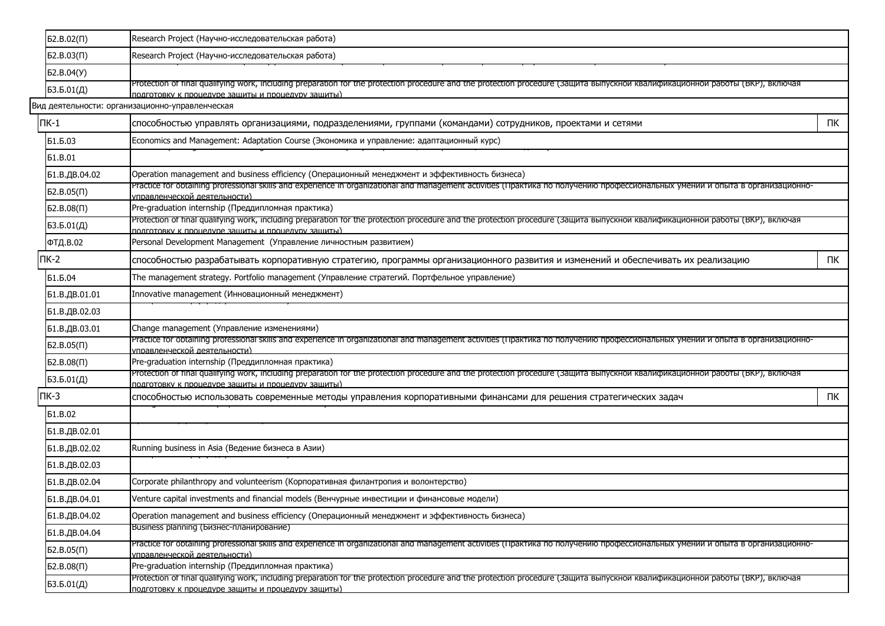| Research Project (Научно-исследовательская работа)<br>$52.B.03(\Pi)$<br>Б2.В.04(У)<br>Protection of final qualifying work, including preparation for the protection procedure and the protection procedure (Защита выпускнои квалификационнои работы (ВКР), включая<br>БЗ.Б.01(Д)<br>подготовку к процедуре зашиты и процедуру зашиты)<br>Вид деятельности: организационно-управленческая<br>$\Pi K-1$<br>ПК<br>способностью управлять организациями, подразделениями, группами (командами) сотрудников, проектами и сетями<br>Economics and Management: Adaptation Course (Экономика и управление: адаптационный курс)<br>Б1.Б.03<br><b>51.B.01</b><br>Б1.В.ДВ.04.02<br>Operation management and business efficiency (Операционный менеджмент и эффективность бизнеса)<br>Practice for obtaining professional skills and experience in organizational and management activities (Практика по получению профессиональных умении и опыта в организационно-<br>$52.B.05(\Pi)$<br><u>иправленческой деятельности)</u><br>Pre-graduation internship (Преддипломная практика)<br>52.B.08(1)<br>Protection of final qualifying work, including preparation for the protection procedure and the protection procedure (Защита выпускнои квалификационнои работы (ВКР), включая<br>БЗ.Б.01(Д)<br>подготовку к процедуре зашиты и процедуру зашиты)<br>Personal Development Management (Управление личностным развитием)<br>ФТД.В.02<br>$\Pi K-2$<br>ПК<br>способностью разрабатывать корпоративную стратегию, программы организационного развития и изменений и обеспечивать их реализацию<br>Б1.Б.04<br>The management strategy. Portfolio management (Управление стратегий. Портфельное управление)<br>Innovative management (Инновационный менеджмент)<br>Б1.В.ДВ.01.01<br>Б1.В.ДВ.02.03<br>Change management (Управление изменениями)<br>Б1.В.ДВ.03.01<br>Practice for obtaining professional skills and experience in organizational and management activities (Практика по получению профессиональных умении и опыта в организационно-<br>$52.B.05(\Pi)$<br><u>иправленческой деятельности)</u><br>52.B.08(1)<br>Pre-graduation internship (Преддипломная практика)<br>Protection of final qualifying work, including preparation for the protection procedure and the protection procedure (Защита выпускнои квалификационнои работы (ВКР), включая<br>БЗ.Б.01(Д)<br>подготовку к процедуре зашиты и процедуру зашиты).<br>$\Pi K-3$<br>ПК<br>способностью использовать современные методы управления корпоративными финансами для решения стратегических задач<br><b>51.B.02</b><br>Б1.В.ДВ.02.01<br>Running business in Asia (Ведение бизнеса в Азии)<br>Б1.В.ДВ.02.02<br>Б1.В.ДВ.02.03<br>Corporate philanthropy and volunteerism (Корпоративная филантропия и волонтерство)<br>Б1.В.ДВ.02.04<br>Venture capital investments and financial models (Венчурные инвестиции и финансовые модели)<br>Б1.В.ДВ.04.01<br>Operation management and business efficiency (Операционный менеджмент и эффективность бизнеса)<br>Б1.В.ДВ.04.02<br>Business planning (Бизнес-планирование)<br>Б1.В.ДВ.04.04<br>Practice for obtaining professional skills and experience in organizational and management activities (Практика по получению профессиональных умении и опыта в организационно-<br>$52.B.05(\Pi)$<br><u>иправленческой деятельности)</u><br>52.B.08(1)<br>Pre-graduation internship (Преддипломная практика)<br>Protection of final qualifying work, including preparation for the protection procedure and the protection procedure (Защита выпускной квалификационной работы (ВКР), включая<br>БЗ.Б.01(Д)<br>подготовку к процедуре защиты и процедуру защиты) | $52.B.02(\Pi)$ | Research Project (Научно-исследовательская работа) |  |
|-------------------------------------------------------------------------------------------------------------------------------------------------------------------------------------------------------------------------------------------------------------------------------------------------------------------------------------------------------------------------------------------------------------------------------------------------------------------------------------------------------------------------------------------------------------------------------------------------------------------------------------------------------------------------------------------------------------------------------------------------------------------------------------------------------------------------------------------------------------------------------------------------------------------------------------------------------------------------------------------------------------------------------------------------------------------------------------------------------------------------------------------------------------------------------------------------------------------------------------------------------------------------------------------------------------------------------------------------------------------------------------------------------------------------------------------------------------------------------------------------------------------------------------------------------------------------------------------------------------------------------------------------------------------------------------------------------------------------------------------------------------------------------------------------------------------------------------------------------------------------------------------------------------------------------------------------------------------------------------------------------------------------------------------------------------------------------------------------------------------------------------------------------------------------------------------------------------------------------------------------------------------------------------------------------------------------------------------------------------------------------------------------------------------------------------------------------------------------------------------------------------------------------------------------------------------------------------------------------------------------------------------------------------------------------------------------------------------------------------------------------------------------------------------------------------------------------------------------------------------------------------------------------------------------------------------------------------------------------------------------------------------------------------------------------------------------------------------------------------------------------------------------------------------------------------------------------------------------------------------------------------------------------------------------------------------------------------------------------------------------------------------------------------------------------------------------------------------------------------------------------------------------------------------------------------------------------------------------------------------------------------------------------------------|----------------|----------------------------------------------------|--|
|                                                                                                                                                                                                                                                                                                                                                                                                                                                                                                                                                                                                                                                                                                                                                                                                                                                                                                                                                                                                                                                                                                                                                                                                                                                                                                                                                                                                                                                                                                                                                                                                                                                                                                                                                                                                                                                                                                                                                                                                                                                                                                                                                                                                                                                                                                                                                                                                                                                                                                                                                                                                                                                                                                                                                                                                                                                                                                                                                                                                                                                                                                                                                                                                                                                                                                                                                                                                                                                                                                                                                                                                                                                                   |                |                                                    |  |
|                                                                                                                                                                                                                                                                                                                                                                                                                                                                                                                                                                                                                                                                                                                                                                                                                                                                                                                                                                                                                                                                                                                                                                                                                                                                                                                                                                                                                                                                                                                                                                                                                                                                                                                                                                                                                                                                                                                                                                                                                                                                                                                                                                                                                                                                                                                                                                                                                                                                                                                                                                                                                                                                                                                                                                                                                                                                                                                                                                                                                                                                                                                                                                                                                                                                                                                                                                                                                                                                                                                                                                                                                                                                   |                |                                                    |  |
|                                                                                                                                                                                                                                                                                                                                                                                                                                                                                                                                                                                                                                                                                                                                                                                                                                                                                                                                                                                                                                                                                                                                                                                                                                                                                                                                                                                                                                                                                                                                                                                                                                                                                                                                                                                                                                                                                                                                                                                                                                                                                                                                                                                                                                                                                                                                                                                                                                                                                                                                                                                                                                                                                                                                                                                                                                                                                                                                                                                                                                                                                                                                                                                                                                                                                                                                                                                                                                                                                                                                                                                                                                                                   |                |                                                    |  |
|                                                                                                                                                                                                                                                                                                                                                                                                                                                                                                                                                                                                                                                                                                                                                                                                                                                                                                                                                                                                                                                                                                                                                                                                                                                                                                                                                                                                                                                                                                                                                                                                                                                                                                                                                                                                                                                                                                                                                                                                                                                                                                                                                                                                                                                                                                                                                                                                                                                                                                                                                                                                                                                                                                                                                                                                                                                                                                                                                                                                                                                                                                                                                                                                                                                                                                                                                                                                                                                                                                                                                                                                                                                                   |                |                                                    |  |
|                                                                                                                                                                                                                                                                                                                                                                                                                                                                                                                                                                                                                                                                                                                                                                                                                                                                                                                                                                                                                                                                                                                                                                                                                                                                                                                                                                                                                                                                                                                                                                                                                                                                                                                                                                                                                                                                                                                                                                                                                                                                                                                                                                                                                                                                                                                                                                                                                                                                                                                                                                                                                                                                                                                                                                                                                                                                                                                                                                                                                                                                                                                                                                                                                                                                                                                                                                                                                                                                                                                                                                                                                                                                   |                |                                                    |  |
|                                                                                                                                                                                                                                                                                                                                                                                                                                                                                                                                                                                                                                                                                                                                                                                                                                                                                                                                                                                                                                                                                                                                                                                                                                                                                                                                                                                                                                                                                                                                                                                                                                                                                                                                                                                                                                                                                                                                                                                                                                                                                                                                                                                                                                                                                                                                                                                                                                                                                                                                                                                                                                                                                                                                                                                                                                                                                                                                                                                                                                                                                                                                                                                                                                                                                                                                                                                                                                                                                                                                                                                                                                                                   |                |                                                    |  |
|                                                                                                                                                                                                                                                                                                                                                                                                                                                                                                                                                                                                                                                                                                                                                                                                                                                                                                                                                                                                                                                                                                                                                                                                                                                                                                                                                                                                                                                                                                                                                                                                                                                                                                                                                                                                                                                                                                                                                                                                                                                                                                                                                                                                                                                                                                                                                                                                                                                                                                                                                                                                                                                                                                                                                                                                                                                                                                                                                                                                                                                                                                                                                                                                                                                                                                                                                                                                                                                                                                                                                                                                                                                                   |                |                                                    |  |
|                                                                                                                                                                                                                                                                                                                                                                                                                                                                                                                                                                                                                                                                                                                                                                                                                                                                                                                                                                                                                                                                                                                                                                                                                                                                                                                                                                                                                                                                                                                                                                                                                                                                                                                                                                                                                                                                                                                                                                                                                                                                                                                                                                                                                                                                                                                                                                                                                                                                                                                                                                                                                                                                                                                                                                                                                                                                                                                                                                                                                                                                                                                                                                                                                                                                                                                                                                                                                                                                                                                                                                                                                                                                   |                |                                                    |  |
|                                                                                                                                                                                                                                                                                                                                                                                                                                                                                                                                                                                                                                                                                                                                                                                                                                                                                                                                                                                                                                                                                                                                                                                                                                                                                                                                                                                                                                                                                                                                                                                                                                                                                                                                                                                                                                                                                                                                                                                                                                                                                                                                                                                                                                                                                                                                                                                                                                                                                                                                                                                                                                                                                                                                                                                                                                                                                                                                                                                                                                                                                                                                                                                                                                                                                                                                                                                                                                                                                                                                                                                                                                                                   |                |                                                    |  |
|                                                                                                                                                                                                                                                                                                                                                                                                                                                                                                                                                                                                                                                                                                                                                                                                                                                                                                                                                                                                                                                                                                                                                                                                                                                                                                                                                                                                                                                                                                                                                                                                                                                                                                                                                                                                                                                                                                                                                                                                                                                                                                                                                                                                                                                                                                                                                                                                                                                                                                                                                                                                                                                                                                                                                                                                                                                                                                                                                                                                                                                                                                                                                                                                                                                                                                                                                                                                                                                                                                                                                                                                                                                                   |                |                                                    |  |
|                                                                                                                                                                                                                                                                                                                                                                                                                                                                                                                                                                                                                                                                                                                                                                                                                                                                                                                                                                                                                                                                                                                                                                                                                                                                                                                                                                                                                                                                                                                                                                                                                                                                                                                                                                                                                                                                                                                                                                                                                                                                                                                                                                                                                                                                                                                                                                                                                                                                                                                                                                                                                                                                                                                                                                                                                                                                                                                                                                                                                                                                                                                                                                                                                                                                                                                                                                                                                                                                                                                                                                                                                                                                   |                |                                                    |  |
|                                                                                                                                                                                                                                                                                                                                                                                                                                                                                                                                                                                                                                                                                                                                                                                                                                                                                                                                                                                                                                                                                                                                                                                                                                                                                                                                                                                                                                                                                                                                                                                                                                                                                                                                                                                                                                                                                                                                                                                                                                                                                                                                                                                                                                                                                                                                                                                                                                                                                                                                                                                                                                                                                                                                                                                                                                                                                                                                                                                                                                                                                                                                                                                                                                                                                                                                                                                                                                                                                                                                                                                                                                                                   |                |                                                    |  |
|                                                                                                                                                                                                                                                                                                                                                                                                                                                                                                                                                                                                                                                                                                                                                                                                                                                                                                                                                                                                                                                                                                                                                                                                                                                                                                                                                                                                                                                                                                                                                                                                                                                                                                                                                                                                                                                                                                                                                                                                                                                                                                                                                                                                                                                                                                                                                                                                                                                                                                                                                                                                                                                                                                                                                                                                                                                                                                                                                                                                                                                                                                                                                                                                                                                                                                                                                                                                                                                                                                                                                                                                                                                                   |                |                                                    |  |
|                                                                                                                                                                                                                                                                                                                                                                                                                                                                                                                                                                                                                                                                                                                                                                                                                                                                                                                                                                                                                                                                                                                                                                                                                                                                                                                                                                                                                                                                                                                                                                                                                                                                                                                                                                                                                                                                                                                                                                                                                                                                                                                                                                                                                                                                                                                                                                                                                                                                                                                                                                                                                                                                                                                                                                                                                                                                                                                                                                                                                                                                                                                                                                                                                                                                                                                                                                                                                                                                                                                                                                                                                                                                   |                |                                                    |  |
|                                                                                                                                                                                                                                                                                                                                                                                                                                                                                                                                                                                                                                                                                                                                                                                                                                                                                                                                                                                                                                                                                                                                                                                                                                                                                                                                                                                                                                                                                                                                                                                                                                                                                                                                                                                                                                                                                                                                                                                                                                                                                                                                                                                                                                                                                                                                                                                                                                                                                                                                                                                                                                                                                                                                                                                                                                                                                                                                                                                                                                                                                                                                                                                                                                                                                                                                                                                                                                                                                                                                                                                                                                                                   |                |                                                    |  |
|                                                                                                                                                                                                                                                                                                                                                                                                                                                                                                                                                                                                                                                                                                                                                                                                                                                                                                                                                                                                                                                                                                                                                                                                                                                                                                                                                                                                                                                                                                                                                                                                                                                                                                                                                                                                                                                                                                                                                                                                                                                                                                                                                                                                                                                                                                                                                                                                                                                                                                                                                                                                                                                                                                                                                                                                                                                                                                                                                                                                                                                                                                                                                                                                                                                                                                                                                                                                                                                                                                                                                                                                                                                                   |                |                                                    |  |
|                                                                                                                                                                                                                                                                                                                                                                                                                                                                                                                                                                                                                                                                                                                                                                                                                                                                                                                                                                                                                                                                                                                                                                                                                                                                                                                                                                                                                                                                                                                                                                                                                                                                                                                                                                                                                                                                                                                                                                                                                                                                                                                                                                                                                                                                                                                                                                                                                                                                                                                                                                                                                                                                                                                                                                                                                                                                                                                                                                                                                                                                                                                                                                                                                                                                                                                                                                                                                                                                                                                                                                                                                                                                   |                |                                                    |  |
|                                                                                                                                                                                                                                                                                                                                                                                                                                                                                                                                                                                                                                                                                                                                                                                                                                                                                                                                                                                                                                                                                                                                                                                                                                                                                                                                                                                                                                                                                                                                                                                                                                                                                                                                                                                                                                                                                                                                                                                                                                                                                                                                                                                                                                                                                                                                                                                                                                                                                                                                                                                                                                                                                                                                                                                                                                                                                                                                                                                                                                                                                                                                                                                                                                                                                                                                                                                                                                                                                                                                                                                                                                                                   |                |                                                    |  |
|                                                                                                                                                                                                                                                                                                                                                                                                                                                                                                                                                                                                                                                                                                                                                                                                                                                                                                                                                                                                                                                                                                                                                                                                                                                                                                                                                                                                                                                                                                                                                                                                                                                                                                                                                                                                                                                                                                                                                                                                                                                                                                                                                                                                                                                                                                                                                                                                                                                                                                                                                                                                                                                                                                                                                                                                                                                                                                                                                                                                                                                                                                                                                                                                                                                                                                                                                                                                                                                                                                                                                                                                                                                                   |                |                                                    |  |
|                                                                                                                                                                                                                                                                                                                                                                                                                                                                                                                                                                                                                                                                                                                                                                                                                                                                                                                                                                                                                                                                                                                                                                                                                                                                                                                                                                                                                                                                                                                                                                                                                                                                                                                                                                                                                                                                                                                                                                                                                                                                                                                                                                                                                                                                                                                                                                                                                                                                                                                                                                                                                                                                                                                                                                                                                                                                                                                                                                                                                                                                                                                                                                                                                                                                                                                                                                                                                                                                                                                                                                                                                                                                   |                |                                                    |  |
|                                                                                                                                                                                                                                                                                                                                                                                                                                                                                                                                                                                                                                                                                                                                                                                                                                                                                                                                                                                                                                                                                                                                                                                                                                                                                                                                                                                                                                                                                                                                                                                                                                                                                                                                                                                                                                                                                                                                                                                                                                                                                                                                                                                                                                                                                                                                                                                                                                                                                                                                                                                                                                                                                                                                                                                                                                                                                                                                                                                                                                                                                                                                                                                                                                                                                                                                                                                                                                                                                                                                                                                                                                                                   |                |                                                    |  |
|                                                                                                                                                                                                                                                                                                                                                                                                                                                                                                                                                                                                                                                                                                                                                                                                                                                                                                                                                                                                                                                                                                                                                                                                                                                                                                                                                                                                                                                                                                                                                                                                                                                                                                                                                                                                                                                                                                                                                                                                                                                                                                                                                                                                                                                                                                                                                                                                                                                                                                                                                                                                                                                                                                                                                                                                                                                                                                                                                                                                                                                                                                                                                                                                                                                                                                                                                                                                                                                                                                                                                                                                                                                                   |                |                                                    |  |
|                                                                                                                                                                                                                                                                                                                                                                                                                                                                                                                                                                                                                                                                                                                                                                                                                                                                                                                                                                                                                                                                                                                                                                                                                                                                                                                                                                                                                                                                                                                                                                                                                                                                                                                                                                                                                                                                                                                                                                                                                                                                                                                                                                                                                                                                                                                                                                                                                                                                                                                                                                                                                                                                                                                                                                                                                                                                                                                                                                                                                                                                                                                                                                                                                                                                                                                                                                                                                                                                                                                                                                                                                                                                   |                |                                                    |  |
|                                                                                                                                                                                                                                                                                                                                                                                                                                                                                                                                                                                                                                                                                                                                                                                                                                                                                                                                                                                                                                                                                                                                                                                                                                                                                                                                                                                                                                                                                                                                                                                                                                                                                                                                                                                                                                                                                                                                                                                                                                                                                                                                                                                                                                                                                                                                                                                                                                                                                                                                                                                                                                                                                                                                                                                                                                                                                                                                                                                                                                                                                                                                                                                                                                                                                                                                                                                                                                                                                                                                                                                                                                                                   |                |                                                    |  |
|                                                                                                                                                                                                                                                                                                                                                                                                                                                                                                                                                                                                                                                                                                                                                                                                                                                                                                                                                                                                                                                                                                                                                                                                                                                                                                                                                                                                                                                                                                                                                                                                                                                                                                                                                                                                                                                                                                                                                                                                                                                                                                                                                                                                                                                                                                                                                                                                                                                                                                                                                                                                                                                                                                                                                                                                                                                                                                                                                                                                                                                                                                                                                                                                                                                                                                                                                                                                                                                                                                                                                                                                                                                                   |                |                                                    |  |
|                                                                                                                                                                                                                                                                                                                                                                                                                                                                                                                                                                                                                                                                                                                                                                                                                                                                                                                                                                                                                                                                                                                                                                                                                                                                                                                                                                                                                                                                                                                                                                                                                                                                                                                                                                                                                                                                                                                                                                                                                                                                                                                                                                                                                                                                                                                                                                                                                                                                                                                                                                                                                                                                                                                                                                                                                                                                                                                                                                                                                                                                                                                                                                                                                                                                                                                                                                                                                                                                                                                                                                                                                                                                   |                |                                                    |  |
|                                                                                                                                                                                                                                                                                                                                                                                                                                                                                                                                                                                                                                                                                                                                                                                                                                                                                                                                                                                                                                                                                                                                                                                                                                                                                                                                                                                                                                                                                                                                                                                                                                                                                                                                                                                                                                                                                                                                                                                                                                                                                                                                                                                                                                                                                                                                                                                                                                                                                                                                                                                                                                                                                                                                                                                                                                                                                                                                                                                                                                                                                                                                                                                                                                                                                                                                                                                                                                                                                                                                                                                                                                                                   |                |                                                    |  |
|                                                                                                                                                                                                                                                                                                                                                                                                                                                                                                                                                                                                                                                                                                                                                                                                                                                                                                                                                                                                                                                                                                                                                                                                                                                                                                                                                                                                                                                                                                                                                                                                                                                                                                                                                                                                                                                                                                                                                                                                                                                                                                                                                                                                                                                                                                                                                                                                                                                                                                                                                                                                                                                                                                                                                                                                                                                                                                                                                                                                                                                                                                                                                                                                                                                                                                                                                                                                                                                                                                                                                                                                                                                                   |                |                                                    |  |
|                                                                                                                                                                                                                                                                                                                                                                                                                                                                                                                                                                                                                                                                                                                                                                                                                                                                                                                                                                                                                                                                                                                                                                                                                                                                                                                                                                                                                                                                                                                                                                                                                                                                                                                                                                                                                                                                                                                                                                                                                                                                                                                                                                                                                                                                                                                                                                                                                                                                                                                                                                                                                                                                                                                                                                                                                                                                                                                                                                                                                                                                                                                                                                                                                                                                                                                                                                                                                                                                                                                                                                                                                                                                   |                |                                                    |  |
|                                                                                                                                                                                                                                                                                                                                                                                                                                                                                                                                                                                                                                                                                                                                                                                                                                                                                                                                                                                                                                                                                                                                                                                                                                                                                                                                                                                                                                                                                                                                                                                                                                                                                                                                                                                                                                                                                                                                                                                                                                                                                                                                                                                                                                                                                                                                                                                                                                                                                                                                                                                                                                                                                                                                                                                                                                                                                                                                                                                                                                                                                                                                                                                                                                                                                                                                                                                                                                                                                                                                                                                                                                                                   |                |                                                    |  |
|                                                                                                                                                                                                                                                                                                                                                                                                                                                                                                                                                                                                                                                                                                                                                                                                                                                                                                                                                                                                                                                                                                                                                                                                                                                                                                                                                                                                                                                                                                                                                                                                                                                                                                                                                                                                                                                                                                                                                                                                                                                                                                                                                                                                                                                                                                                                                                                                                                                                                                                                                                                                                                                                                                                                                                                                                                                                                                                                                                                                                                                                                                                                                                                                                                                                                                                                                                                                                                                                                                                                                                                                                                                                   |                |                                                    |  |
|                                                                                                                                                                                                                                                                                                                                                                                                                                                                                                                                                                                                                                                                                                                                                                                                                                                                                                                                                                                                                                                                                                                                                                                                                                                                                                                                                                                                                                                                                                                                                                                                                                                                                                                                                                                                                                                                                                                                                                                                                                                                                                                                                                                                                                                                                                                                                                                                                                                                                                                                                                                                                                                                                                                                                                                                                                                                                                                                                                                                                                                                                                                                                                                                                                                                                                                                                                                                                                                                                                                                                                                                                                                                   |                |                                                    |  |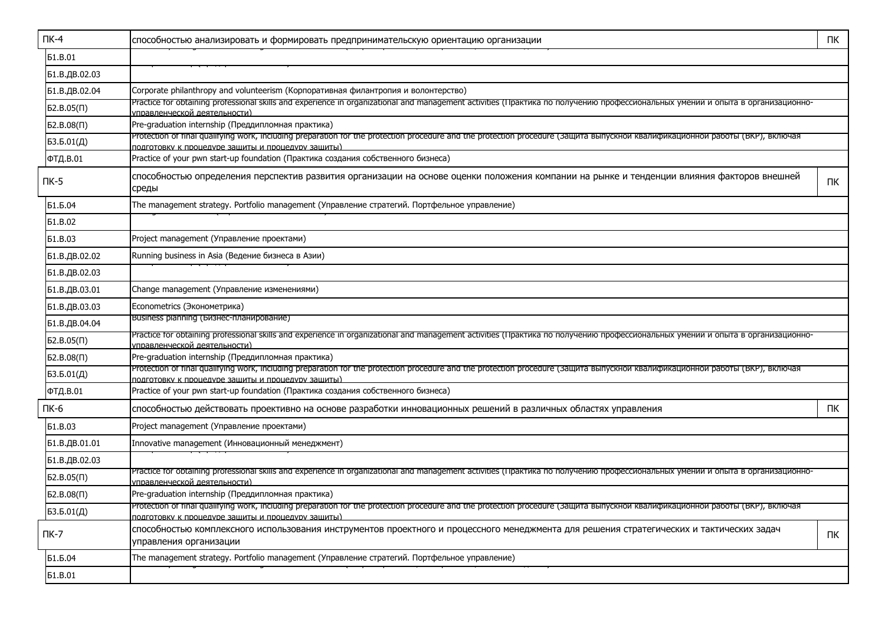|                | $\Pi K-4$      | способностью анализировать и формировать предпринимательскую ориентацию организации                                                                                                                                                 | ПК |  |  |  |  |  |  |  |  |  |
|----------------|----------------|-------------------------------------------------------------------------------------------------------------------------------------------------------------------------------------------------------------------------------------|----|--|--|--|--|--|--|--|--|--|
|                | <b>61.B.01</b> |                                                                                                                                                                                                                                     |    |  |  |  |  |  |  |  |  |  |
|                | Б1.В.ДВ.02.03  |                                                                                                                                                                                                                                     |    |  |  |  |  |  |  |  |  |  |
|                | Б1.В.ДВ.02.04  | Corporate philanthropy and volunteerism (Корпоративная филантропия и волонтерство)                                                                                                                                                  |    |  |  |  |  |  |  |  |  |  |
|                | $52.B.05(\Pi)$ | Practice for obtaining professional skills and experience in organizational and management activities (Практика по получению профессиональных умении и опыта в организационно-<br><u>иправленческой деятельности)</u>               |    |  |  |  |  |  |  |  |  |  |
|                | 52.B.08(1)     | Pre-graduation internship (Преддипломная практика)                                                                                                                                                                                  |    |  |  |  |  |  |  |  |  |  |
|                | 53.5.01(Д)     | Protection of final qualifying work, including preparation for the protection procedure and the protection procedure (Защита выпускнои квалификационнои работы (ВКР), включая                                                       |    |  |  |  |  |  |  |  |  |  |
|                | ФТД.В.01       | подготовку к процедуре защиты и процедуру защиты)<br>Practice of your pwn start-up foundation (Практика создания собственного бизнеса)                                                                                              |    |  |  |  |  |  |  |  |  |  |
|                | $\n  TK-5\n$   | способностью определения перспектив развития организации на основе оценки положения компании на рынке и тенденции влияния факторов внешней<br>среды                                                                                 | ПК |  |  |  |  |  |  |  |  |  |
|                | Б1.Б.04        | The management strategy. Portfolio management (Управление стратегий. Портфельное управление)                                                                                                                                        |    |  |  |  |  |  |  |  |  |  |
|                | <b>61.B.02</b> |                                                                                                                                                                                                                                     |    |  |  |  |  |  |  |  |  |  |
|                | <b>51.B.03</b> | Project management (Управление проектами)                                                                                                                                                                                           |    |  |  |  |  |  |  |  |  |  |
|                | Б1.В.ДВ.02.02  | Running business in Asia (Ведение бизнеса в Азии)                                                                                                                                                                                   |    |  |  |  |  |  |  |  |  |  |
| Б1.В.ДВ.02.03  |                |                                                                                                                                                                                                                                     |    |  |  |  |  |  |  |  |  |  |
| Б1.В.ДВ.03.01  |                | Change management (Управление изменениями)                                                                                                                                                                                          |    |  |  |  |  |  |  |  |  |  |
| Б1.В.ДВ.03.03  |                | Econometrics (Эконометрика)                                                                                                                                                                                                         |    |  |  |  |  |  |  |  |  |  |
| Б1.В.ДВ.04.04  |                | Business planning (Бизнес-планирование)                                                                                                                                                                                             |    |  |  |  |  |  |  |  |  |  |
| $52.B.05(\Pi)$ |                | Practice for obtaining professional skills and experience in organizational and management activities (Практика по получению профессиональных умении и опыта в организационно-<br>лправленческой деятельности)                      |    |  |  |  |  |  |  |  |  |  |
|                | 52.B.08(1)     | Pre-graduation internship (Преддипломная практика)                                                                                                                                                                                  |    |  |  |  |  |  |  |  |  |  |
|                | 53.5.01(Д)     | Protection of final qualifying work, including preparation for the protection procedure and the protection procedure (защита выпускнои квалификационнои работы (ВКР), включая<br>полготовку к процелуре защиты и процелуру защиты)  |    |  |  |  |  |  |  |  |  |  |
|                | ФТД.В.01       | Practice of your pwn start-up foundation (Практика создания собственного бизнеса)                                                                                                                                                   |    |  |  |  |  |  |  |  |  |  |
|                | ПК-6           | способностью действовать проективно на основе разработки инновационных решений в различных областях управления                                                                                                                      | ПК |  |  |  |  |  |  |  |  |  |
|                | <b>61.B.03</b> | Project management (Управление проектами)                                                                                                                                                                                           |    |  |  |  |  |  |  |  |  |  |
|                | Б1.В.ДВ.01.01  | Innovative management (Инновационный менеджмент)                                                                                                                                                                                    |    |  |  |  |  |  |  |  |  |  |
|                | Б1.В.ДВ.02.03  |                                                                                                                                                                                                                                     |    |  |  |  |  |  |  |  |  |  |
|                | $52.B.05(\Pi)$ | Practice for obtaining professional skills and experience in organizational and management activities (Практика по получению профессиональных умении и опыта в организационно-<br><u>правленческой деятельности)</u>                |    |  |  |  |  |  |  |  |  |  |
| $52.B.08(\Pi)$ |                | Pre-graduation internship (Преддипломная практика)                                                                                                                                                                                  |    |  |  |  |  |  |  |  |  |  |
|                | БЗ.Б.01(Д)     | Protection of final qualifying work, including preparation for the protection procedure and the protection procedure (защита выпускнои квалификационнои работы (ВКР), включая<br>полготовку к процелуре защиты и процелуру защиты). |    |  |  |  |  |  |  |  |  |  |
|                | $\Pi K-7$      | способностью комплексного использования инструментов проектного и процессного менеджмента для решения стратегических и тактических задач<br>управления организации                                                                  | ПК |  |  |  |  |  |  |  |  |  |
|                | Б1.Б.04        | The management strategy. Portfolio management (Управление стратегий. Портфельное управление)                                                                                                                                        |    |  |  |  |  |  |  |  |  |  |
|                | <b>51.B.01</b> |                                                                                                                                                                                                                                     |    |  |  |  |  |  |  |  |  |  |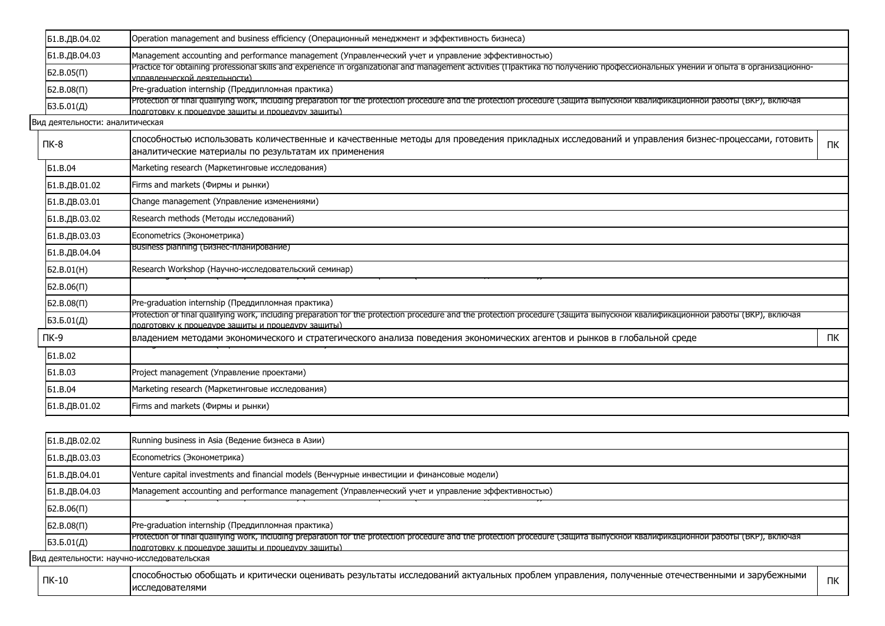|                                                                    | Б1.В.ДВ.04.02                              | Operation management and business efficiency (Операционный менеджмент и эффективность бизнеса)                                                                                                                                     |    |  |  |  |  |  |  |  |  |
|--------------------------------------------------------------------|--------------------------------------------|------------------------------------------------------------------------------------------------------------------------------------------------------------------------------------------------------------------------------------|----|--|--|--|--|--|--|--|--|
|                                                                    | Б1.В.ДВ.04.03                              | Management accounting and performance management (Управленческий учет и управление эффективностью)                                                                                                                                 |    |  |  |  |  |  |  |  |  |
|                                                                    | $52.B.05(\Pi)$                             | Practice for obtaining professional skills and experience in organizational and management activities (Практика по получению профессиональных умении и опыта в организационно-<br><u> управленческой деятельности)</u>             |    |  |  |  |  |  |  |  |  |
|                                                                    | 52.B.08(1)                                 | Pre-graduation internship (Преддипломная практика)                                                                                                                                                                                 |    |  |  |  |  |  |  |  |  |
|                                                                    | БЗ.Б.01(Д)                                 | Protection of final qualifying work, including preparation for the protection procedure and the protection procedure (Защита выпускнои квалификационнои работы (ВКР), включая<br>подготовку к процедуре защиты и процедуру защиты) |    |  |  |  |  |  |  |  |  |
|                                                                    | Вид деятельности: аналитическая            |                                                                                                                                                                                                                                    |    |  |  |  |  |  |  |  |  |
|                                                                    | ПК-8                                       | способностью использовать количественные и качественные методы для проведения прикладных исследований и управления бизнес-процессами, готовить<br>аналитические материалы по результатам их применения                             | ПК |  |  |  |  |  |  |  |  |
|                                                                    | <b>51.B.04</b>                             | Marketing research (Маркетинговые исследования)                                                                                                                                                                                    |    |  |  |  |  |  |  |  |  |
|                                                                    | Б1.В.ДВ.01.02                              | Firms and markets (Фирмы и рынки)                                                                                                                                                                                                  |    |  |  |  |  |  |  |  |  |
|                                                                    | Б1.В.ДВ.03.01                              | Change management (Управление изменениями)                                                                                                                                                                                         |    |  |  |  |  |  |  |  |  |
|                                                                    | Б1.В.ДВ.03.02                              | Research methods (Методы исследований)                                                                                                                                                                                             |    |  |  |  |  |  |  |  |  |
|                                                                    | Б1.В.ДВ.03.03                              | Econometrics (Эконометрика)                                                                                                                                                                                                        |    |  |  |  |  |  |  |  |  |
|                                                                    | Б1.В.ДВ.04.04                              | Business planning (Бизнес-планирование)                                                                                                                                                                                            |    |  |  |  |  |  |  |  |  |
| Б2.В.01(H)<br>Research Workshop (Научно-исследовательский семинар) |                                            |                                                                                                                                                                                                                                    |    |  |  |  |  |  |  |  |  |
|                                                                    | $52.B.06(\Pi)$                             |                                                                                                                                                                                                                                    |    |  |  |  |  |  |  |  |  |
|                                                                    | 52.B.08(1)                                 | Pre-graduation internship (Преддипломная практика)                                                                                                                                                                                 |    |  |  |  |  |  |  |  |  |
|                                                                    | БЗ.Б.01(Д)                                 | Protection of final qualifying work, including preparation for the protection procedure and the protection procedure (Защита выпускнои квалификационнои работы (ВКР), включая<br>подготовку к процедуре защиты и процедуру защиты) |    |  |  |  |  |  |  |  |  |
|                                                                    | ПК-9                                       | владением методами экономического и стратегического анализа поведения экономических агентов и рынков в глобальной среде                                                                                                            | ПК |  |  |  |  |  |  |  |  |
|                                                                    | <b>51.B.02</b>                             |                                                                                                                                                                                                                                    |    |  |  |  |  |  |  |  |  |
|                                                                    | <b>Б1.В.03</b>                             | Project management (Управление проектами)                                                                                                                                                                                          |    |  |  |  |  |  |  |  |  |
|                                                                    | <b>51.B.04</b>                             | Marketing research (Маркетинговые исследования)                                                                                                                                                                                    |    |  |  |  |  |  |  |  |  |
|                                                                    | Б1.В.ДВ.01.02                              | Firms and markets (Фирмы и рынки)                                                                                                                                                                                                  |    |  |  |  |  |  |  |  |  |
|                                                                    |                                            |                                                                                                                                                                                                                                    |    |  |  |  |  |  |  |  |  |
|                                                                    | Б1.В.ДВ.02.02                              | Running business in Asia (Ведение бизнеса в Азии)                                                                                                                                                                                  |    |  |  |  |  |  |  |  |  |
|                                                                    | Б1.В.ДВ.03.03                              | Econometrics (Эконометрика)                                                                                                                                                                                                        |    |  |  |  |  |  |  |  |  |
|                                                                    | Б1.В.ДВ.04.01                              | Venture capital investments and financial models (Венчурные инвестиции и финансовые модели)                                                                                                                                        |    |  |  |  |  |  |  |  |  |
|                                                                    | Б1.В.ДВ.04.03                              | Management accounting and performance management (Управленческий учет и управление эффективностью)                                                                                                                                 |    |  |  |  |  |  |  |  |  |
|                                                                    | $52.B.06(\Pi)$                             |                                                                                                                                                                                                                                    |    |  |  |  |  |  |  |  |  |
|                                                                    | 52.B.08(1)                                 | Pre-graduation internship (Преддипломная практика)                                                                                                                                                                                 |    |  |  |  |  |  |  |  |  |
|                                                                    | БЗ.Б.01(Д)                                 | Protection of final qualifying work, including preparation for the protection procedure and the protection procedure (защита выпускнои квалификационнои работы (ВКР), включая<br>подготовку к процедуре зашиты и процедуру зашиты) |    |  |  |  |  |  |  |  |  |
|                                                                    | Вид деятельности: научно-исследовательская |                                                                                                                                                                                                                                    |    |  |  |  |  |  |  |  |  |
|                                                                    |                                            |                                                                                                                                                                                                                                    |    |  |  |  |  |  |  |  |  |

|  | $\mathsf{IR}\text{-}10$ | собностью обобшать и критически оценивать результаты исследований актуальных проблем управления, полученные отечественными и зарубежными |  |
|--|-------------------------|------------------------------------------------------------------------------------------------------------------------------------------|--|
|  |                         | тедователями<br>Iиc                                                                                                                      |  |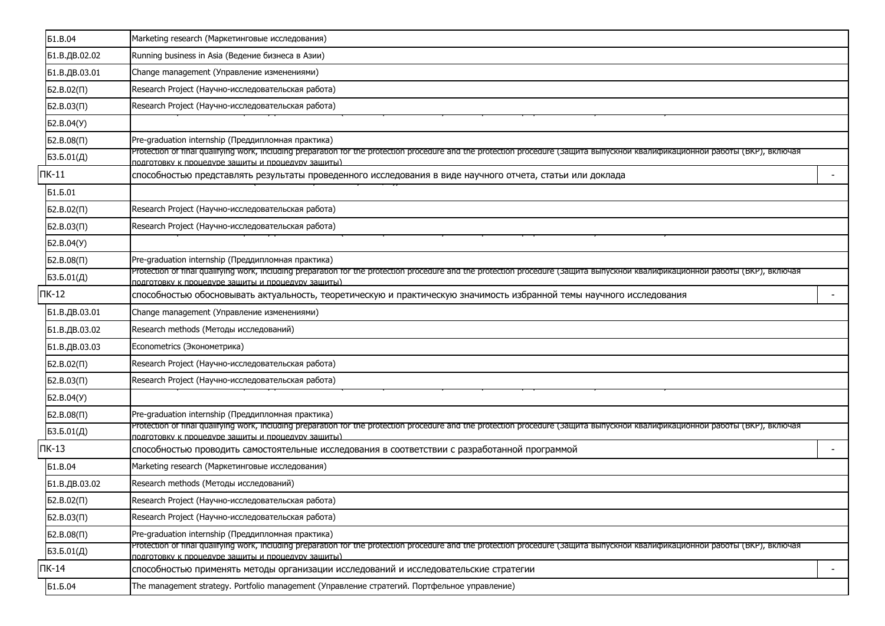|               | <b>51.B.04</b>      | Marketing research (Маркетинговые исследования)                                                                                                                                                                                     |                          |  |  |  |  |  |  |  |
|---------------|---------------------|-------------------------------------------------------------------------------------------------------------------------------------------------------------------------------------------------------------------------------------|--------------------------|--|--|--|--|--|--|--|
|               | Б1.В.ДВ.02.02       | Running business in Asia (Ведение бизнеса в Азии)                                                                                                                                                                                   |                          |  |  |  |  |  |  |  |
|               | Б1.В.ДВ.03.01       | Change management (Управление изменениями)                                                                                                                                                                                          |                          |  |  |  |  |  |  |  |
|               | 52.B.02(1)          | Research Project (Научно-исследовательская работа)                                                                                                                                                                                  |                          |  |  |  |  |  |  |  |
|               | $52.B.03(\Pi)$      | Research Project (Научно-исследовательская работа)                                                                                                                                                                                  |                          |  |  |  |  |  |  |  |
|               | Б2.В.04(У)          |                                                                                                                                                                                                                                     |                          |  |  |  |  |  |  |  |
|               | 52.B.08(1)          | Pre-graduation internship (Преддипломная практика)                                                                                                                                                                                  |                          |  |  |  |  |  |  |  |
|               | 53.5.01(Д)          | Protection of final qualifying work, including preparation for the protection procedure and the protection procedure (защита выпускнои квалификационнои работы (ВКР), включая<br>подготовку к процедуре защиты и процедуру защиты)  |                          |  |  |  |  |  |  |  |
| $\n  TK-11\n$ |                     | способностью представлять результаты проведенного исследования в виде научного отчета, статьи или доклада                                                                                                                           | $\overline{\phantom{a}}$ |  |  |  |  |  |  |  |
|               | Б1.Б.01             |                                                                                                                                                                                                                                     |                          |  |  |  |  |  |  |  |
|               | 52.B.02(1)          | Research Project (Научно-исследовательская работа)                                                                                                                                                                                  |                          |  |  |  |  |  |  |  |
|               | $52.B.03(\Pi)$      | Research Project (Научно-исследовательская работа)                                                                                                                                                                                  |                          |  |  |  |  |  |  |  |
|               | Б2.В.04(У)          |                                                                                                                                                                                                                                     |                          |  |  |  |  |  |  |  |
|               | 52.B.08(1)          | Pre-graduation internship (Преддипломная практика)                                                                                                                                                                                  |                          |  |  |  |  |  |  |  |
|               | 53.5.01( <i>Д</i> ) | Protection of final qualifying work, including preparation for the protection procedure and the protection procedure (защита выпускнои квалификационнои работы (ВКР), включая<br>подготовку к процедуре защиты и процедуру защиты)  |                          |  |  |  |  |  |  |  |
|               | $TK-12$             | способностью обосновывать актуальность, теоретическую и практическую значимость избранной темы научного исследования                                                                                                                |                          |  |  |  |  |  |  |  |
|               | Б1.В.ДВ.03.01       | Change management (Управление изменениями)                                                                                                                                                                                          |                          |  |  |  |  |  |  |  |
|               | Б1.В.ДВ.03.02       | Research methods (Методы исследований)                                                                                                                                                                                              |                          |  |  |  |  |  |  |  |
|               | Б1.В.ДВ.03.03       | Econometrics (Эконометрика)                                                                                                                                                                                                         |                          |  |  |  |  |  |  |  |
|               | $52.B.02(\Pi)$      | Research Project (Научно-исследовательская работа)                                                                                                                                                                                  |                          |  |  |  |  |  |  |  |
|               | $52.B.03(\Pi)$      | Research Project (Научно-исследовательская работа)                                                                                                                                                                                  |                          |  |  |  |  |  |  |  |
|               | Б2.В.04(У)          |                                                                                                                                                                                                                                     |                          |  |  |  |  |  |  |  |
|               | 52.B.08(1)          | Pre-graduation internship (Преддипломная практика)                                                                                                                                                                                  |                          |  |  |  |  |  |  |  |
|               | БЗ.Б.01(Д)          | Protection of final qualifying work, including preparation for the protection procedure and the protection procedure (защита выпускнои квалификационнои работы (ВКР), включая<br>подготовку к процедуре защиты и процедуру защиты). |                          |  |  |  |  |  |  |  |
|               | $TK-13$             | способностью проводить самостоятельные исследования в соответствии с разработанной программой                                                                                                                                       | $\overline{\phantom{a}}$ |  |  |  |  |  |  |  |
|               | <b>51.B.04</b>      | Marketing research (Маркетинговые исследования)                                                                                                                                                                                     |                          |  |  |  |  |  |  |  |
|               | Б1.В.ДВ.03.02       | Research methods (Методы исследований)                                                                                                                                                                                              |                          |  |  |  |  |  |  |  |
|               | $52.B.02(\Pi)$      | Research Project (Научно-исследовательская работа)                                                                                                                                                                                  |                          |  |  |  |  |  |  |  |
|               | 52.B.03(1)          | Research Project (Научно-исследовательская работа)                                                                                                                                                                                  |                          |  |  |  |  |  |  |  |
|               | $52.B.08(\Pi)$      | Pre-graduation internship (Преддипломная практика)                                                                                                                                                                                  |                          |  |  |  |  |  |  |  |
|               | 53.5.01(Д)          | Protection of final qualifying work, including preparation for the protection procedure and the protection procedure (Защита выпускнои квалификационнои работы (ВКР), включая<br>подготовку к процедуре защиты и процедуру защиты). |                          |  |  |  |  |  |  |  |
|               | $\n  TK-14\n$       | способностью применять методы организации исследований и исследовательские стратегии                                                                                                                                                | $\sim$                   |  |  |  |  |  |  |  |
|               | Б1.Б.04             | The management strategy. Portfolio management (Управление стратегий. Портфельное управление)                                                                                                                                        |                          |  |  |  |  |  |  |  |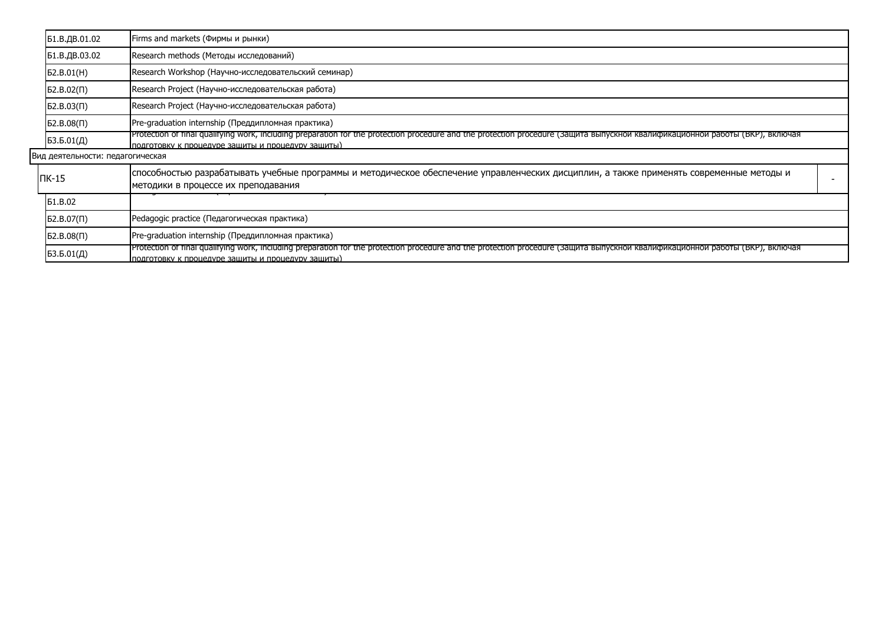| Б1.В.ДВ.01.02                                                    | Firms and markets (Фирмы и рынки)                                                                                                                                                                                                   |  |  |  |  |  |  |
|------------------------------------------------------------------|-------------------------------------------------------------------------------------------------------------------------------------------------------------------------------------------------------------------------------------|--|--|--|--|--|--|
| Б1.В.ДВ.03.02                                                    | Research methods (Методы исследований)                                                                                                                                                                                              |  |  |  |  |  |  |
| 52.B.01(H)                                                       | Research Workshop (Научно-исследовательский семинар)                                                                                                                                                                                |  |  |  |  |  |  |
| Research Project (Научно-исследовательская работа)<br>52.B.02(1) |                                                                                                                                                                                                                                     |  |  |  |  |  |  |
| 52.B.03(1)                                                       | Research Project (Научно-исследовательская работа)                                                                                                                                                                                  |  |  |  |  |  |  |
| 52.B.08(1)                                                       | Pre-graduation internship (Преддипломная практика)                                                                                                                                                                                  |  |  |  |  |  |  |
| 53.5.01(Д)                                                       | Protection of final qualifying work, including preparation for the protection procedure and the protection procedure (Защита выпускнои квалификационнои работы (ВКР), включая<br>подготовку к процедуре защиты и процедуру защиты)  |  |  |  |  |  |  |
| Вид деятельности: педагогическая                                 |                                                                                                                                                                                                                                     |  |  |  |  |  |  |
| $\overline{\textsf{IR-15}}$                                      | способностью разрабатывать учебные программы и методическое обеспечение управленческих дисциплин, а также применять современные методы и<br>методики в процессе их преподавания                                                     |  |  |  |  |  |  |
| <b>51.B.02</b>                                                   |                                                                                                                                                                                                                                     |  |  |  |  |  |  |
| 52.B.07(1)                                                       | Pedagogic practice (Педагогическая практика)                                                                                                                                                                                        |  |  |  |  |  |  |
| 52.B.08(1)                                                       | Pre-graduation internship (Преддипломная практика)                                                                                                                                                                                  |  |  |  |  |  |  |
| 53.5.01(Д)                                                       | Protection of final qualifying work, including preparation for the protection procedure and the protection procedure (Защита выпускнои квалификационнои работы (ВКР), включая<br>подготовку к процедуре защиты и процедуру защиты). |  |  |  |  |  |  |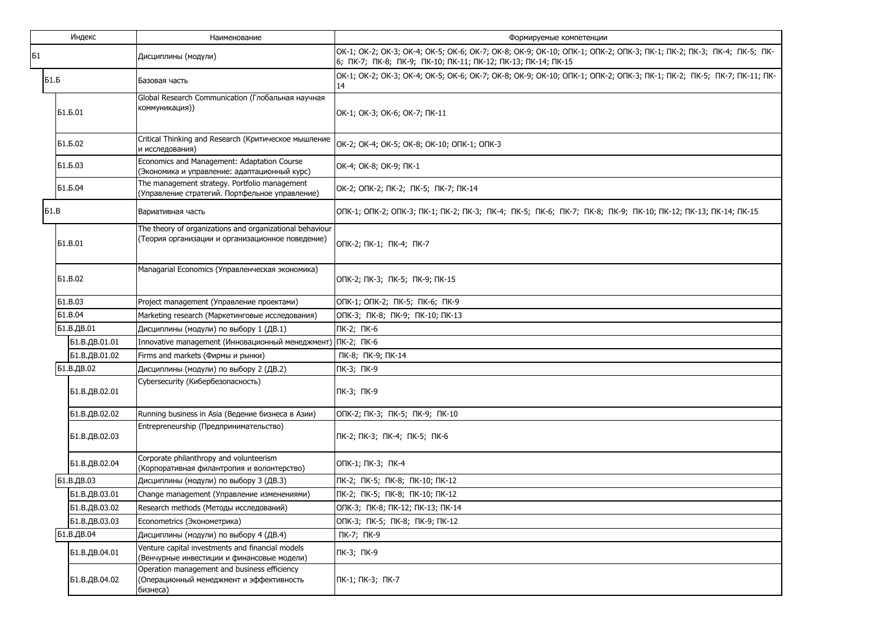| Индекс      |                                                                                                            | Наименование                                                                                                 | Формируемые компетенции                                                                                                                                                              |  |  |  |  |  |  |  |  |
|-------------|------------------------------------------------------------------------------------------------------------|--------------------------------------------------------------------------------------------------------------|--------------------------------------------------------------------------------------------------------------------------------------------------------------------------------------|--|--|--|--|--|--|--|--|
| Б1          |                                                                                                            | Дисциплины (модули)                                                                                          | OK-1; OK-2; OK-3; OK-4; OK-5; OK-6; OK-7; OK-8; OK-9; OK-10; OTK-1; OTK-2; OTK-3; TK-1; TK-2; TK-3; TK-4; TK-5; TK-<br>6; NK-7; NK-8; NK-9; NK-10; NK-11; NK-12; NK-13; NK-14; NK-15 |  |  |  |  |  |  |  |  |
| <b>51.6</b> |                                                                                                            | Базовая часть                                                                                                | OK-1; OK-2; OK-3; OK-4; OK-5; OK-6; OK-7; OK-8; OK-9; OK-10; ONK-1; ONK-2; ONK-3; NK-1; NK-2; NK-5; NK-7; NK-11; NK-<br>14                                                           |  |  |  |  |  |  |  |  |
|             | Global Research Communication (Глобальная научная<br>коммуникация))<br><b>51.5.01</b>                      |                                                                                                              | OK-1; OK-3; OK-6; OK-7; ПК-11                                                                                                                                                        |  |  |  |  |  |  |  |  |
|             | Б1.Б.02                                                                                                    | Critical Thinking and Research (Критическое мышление<br>и исследования)                                      | OK-2; OK-4; OK-5; OK-8; OK-10; ONK-1; ONK-3                                                                                                                                          |  |  |  |  |  |  |  |  |
|             | Б1.Б.03                                                                                                    | Economics and Management: Adaptation Course<br>(Экономика и управление: адаптационный курс)                  | OK-4; OK-8; OK-9; NK-1                                                                                                                                                               |  |  |  |  |  |  |  |  |
|             | The management strategy. Portfolio management<br>Б1.Б.04<br>(Управление стратегий. Портфельное управление) |                                                                                                              | OK-2; ONK-2; NK-2; NK-5; NK-7; NK-14                                                                                                                                                 |  |  |  |  |  |  |  |  |
| 51.B        |                                                                                                            | Вариативная часть                                                                                            | ONK-1; ONK-2; ONK-3; NK-1; NK-2; NK-3; NK-4; NK-5; NK-6; NK-7; NK-8; NK-9; NK-10; NK-12; NK-13; NK-14; NK-15                                                                         |  |  |  |  |  |  |  |  |
|             | <b>51.B.01</b>                                                                                             | The theory of organizations and organizational behaviour<br>(Теория организации и организационное поведение) | ОПК-2; ПК-1; ПК-4; ПК-7                                                                                                                                                              |  |  |  |  |  |  |  |  |
|             | Managarial Economics (Управленческая экономика)<br><b>61.B.02</b>                                          |                                                                                                              | ОПК-2; ПК-3; ПК-5; ПК-9; ПК-15                                                                                                                                                       |  |  |  |  |  |  |  |  |
|             | <b>61.B.03</b>                                                                                             | Project management (Управление проектами)                                                                    | ОПК-1; ОПК-2; ПК-5; ПК-6; ПК-9                                                                                                                                                       |  |  |  |  |  |  |  |  |
|             | <b>51.B.04</b><br>Marketing research (Маркетинговые исследования)                                          |                                                                                                              | ОПК-3; ПК-8; ПК-9; ПК-10; ПК-13                                                                                                                                                      |  |  |  |  |  |  |  |  |
|             | Б1.В.ДВ.01                                                                                                 | Дисциплины (модули) по выбору 1 (ДВ.1)                                                                       | ПК-2; ПК-6                                                                                                                                                                           |  |  |  |  |  |  |  |  |
|             | Б1.В.ДВ.01.01<br>Innovative management (Инновационный менеджмент) ПК-2; ПК-6                               |                                                                                                              |                                                                                                                                                                                      |  |  |  |  |  |  |  |  |
|             | Б1.В.ДВ.01.02                                                                                              | Firms and markets (Фирмы и рынки)                                                                            | ПК-8; ПК-9; ПК-14                                                                                                                                                                    |  |  |  |  |  |  |  |  |
|             | Б1.В.ДВ.02                                                                                                 | Дисциплины (модули) по выбору 2 (ДВ.2)                                                                       | ПК-3; ПК-9                                                                                                                                                                           |  |  |  |  |  |  |  |  |
|             | Б1.В.ДВ.02.01                                                                                              | Cybersecurity (Кибербезопасность)                                                                            | ПК-3; ПК-9                                                                                                                                                                           |  |  |  |  |  |  |  |  |
|             | Б1.В.ДВ.02.02                                                                                              | Running business in Asia (Ведение бизнеса в Азии)                                                            | ОПК-2; ПК-3; ПК-5; ПК-9; ПК-10                                                                                                                                                       |  |  |  |  |  |  |  |  |
|             | Б1.В.ДВ.02.03                                                                                              | Entrepreneurship (Предпринимательство)                                                                       | ПК-2; ПК-3; ПК-4; ПК-5; ПК-6                                                                                                                                                         |  |  |  |  |  |  |  |  |
|             | Б1.В.ДВ.02.04                                                                                              | Corporate philanthropy and volunteerism<br>(Корпоративная филантропия и волонтерство)                        | ОПК-1; ПК-3; ПК-4                                                                                                                                                                    |  |  |  |  |  |  |  |  |
|             | Б1.В.ДВ.03                                                                                                 | Дисциплины (модули) по выбору 3 (ДВ.3)                                                                       | ПК-2; ПК-5; ПК-8; ПК-10; ПК-12                                                                                                                                                       |  |  |  |  |  |  |  |  |
|             | Б1.В.ДВ.03.01                                                                                              | Change management (Управление изменениями)                                                                   | ПК-2; ПК-5; ПК-8; ПК-10; ПК-12                                                                                                                                                       |  |  |  |  |  |  |  |  |
|             | Б1.В.ДВ.03.02                                                                                              | Research methods (Методы исследований)                                                                       | ОПК-3; ПК-8; ПК-12; ПК-13; ПК-14                                                                                                                                                     |  |  |  |  |  |  |  |  |
|             | Б1.В.ДВ.03.03                                                                                              | Econometrics (Эконометрика)                                                                                  | ОПК-3; ПК-5; ПК-8; ПК-9; ПК-12                                                                                                                                                       |  |  |  |  |  |  |  |  |
|             | Б1.В.ДВ.04                                                                                                 | Дисциплины (модули) по выбору 4 (ДВ.4)                                                                       | ПК-7; ПК-9                                                                                                                                                                           |  |  |  |  |  |  |  |  |
|             | Б1.В.ДВ.04.01                                                                                              | Venture capital investments and financial models<br>(Венчурные инвестиции и финансовые модели)               | ПК-3; ПК-9                                                                                                                                                                           |  |  |  |  |  |  |  |  |
|             | Б1.В.ДВ.04.02                                                                                              | Operation management and business efficiency<br>(Операционный менеджмент и эффективность<br>бизнеса)         | ПК-1; ПК-3; ПК-7                                                                                                                                                                     |  |  |  |  |  |  |  |  |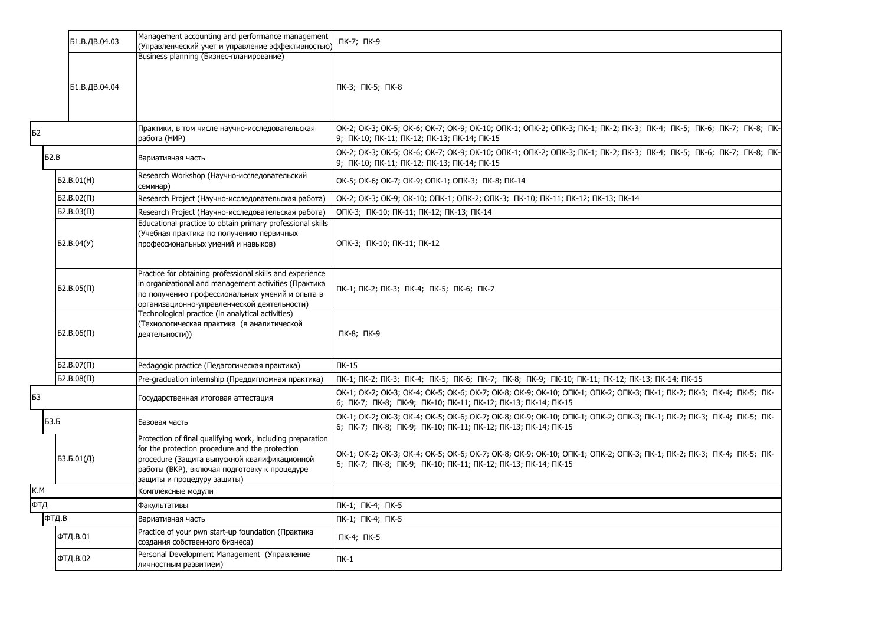|     | Б1.В.ДВ.04.03  | Management accounting and performance management<br>(Управленческий учет и управление эффективностью)                                                                                                                                       | ПК-7; ПК-9                                                                                                                                                                           |
|-----|----------------|---------------------------------------------------------------------------------------------------------------------------------------------------------------------------------------------------------------------------------------------|--------------------------------------------------------------------------------------------------------------------------------------------------------------------------------------|
|     |                | Business planning (Бизнес-планирование)                                                                                                                                                                                                     |                                                                                                                                                                                      |
|     | Б1.В.ДВ.04.04  |                                                                                                                                                                                                                                             | ПК-3; ПК-5; ПК-8                                                                                                                                                                     |
|     |                |                                                                                                                                                                                                                                             |                                                                                                                                                                                      |
| Б2  |                | Практики, в том числе научно-исследовательская<br>работа (НИР)                                                                                                                                                                              | ok-2; ok-3; ok-5; ok-6; ok-7; ok-9; ok-10; oпk-1; oпk-2; oпk-3; пk-1; пk-2; пк-3; пк-4; пк-5; пк-6; пк-7; пк-8; пк-<br>9; NK-10; NK-11; NK-12; NK-13; NK-14; NK-15                   |
|     | 52.B           | Вариативная часть                                                                                                                                                                                                                           | OK-2; OK-3; OK-5; OK-6; OK-7; OK-9; OK-10; OΠK-1; OПK-2; OПK-3; ПК-1; ПК-2; ПК-3; ПК-4; ПК-5; ПК-6; ПК-7; ПК-8; ПК-<br>9; NK-10; NK-11; NK-12; NK-13; NK-14; NK-15                   |
|     | D2.B.01(H)     | Research Workshop (Научно-исследовательский<br>семинар)                                                                                                                                                                                     | OK-5; OK-6; OK-7; OK-9; ONK-1; ONK-3; NK-8; NK-14                                                                                                                                    |
|     | $52.B.02(\Pi)$ | Research Project (Научно-исследовательская работа)                                                                                                                                                                                          | OK-2; OK-3; OK-9; OK-10; ONK-1; ONK-2; ONK-3; NK-10; NK-11; NK-12; NK-13; NK-14                                                                                                      |
|     | $52.B.03(\Pi)$ | Research Project (Научно-исследовательская работа)                                                                                                                                                                                          | ОПК-3; ПК-10; ПК-11; ПК-12; ПК-13; ПК-14                                                                                                                                             |
|     | D. B.04(Y)     | Educational practice to obtain primary professional skills<br>(Учебная практика по получению первичных<br>профессиональных умений и навыков)                                                                                                | ОПК-3; ПК-10; ПК-11; ПК-12                                                                                                                                                           |
|     | 52.B.05(II)    | Practice for obtaining professional skills and experience<br>in organizational and management activities (Практика<br>по получению профессиональных умений и опыта в<br>организационно-управленческой деятельности)                         | ПК-1; ПК-2; ПК-3; ПК-4; ПК-5; ПК-6; ПК-7                                                                                                                                             |
|     | 52.B.06(1)     | Technological practice (in analytical activities)<br>(Технологическая практика (в аналитической<br>деятельности))                                                                                                                           | ПК-8; ПК-9                                                                                                                                                                           |
|     | $52.B.07(\Pi)$ | Pedagogic practice (Педагогическая практика)                                                                                                                                                                                                | $TK-15$                                                                                                                                                                              |
|     | $52.B.08(\Pi)$ | Pre-graduation internship (Преддипломная практика)                                                                                                                                                                                          | ПК-1; ПК-2; ПК-3;  ПК-4;  ПК-5;  ПК-6;  ПК-7;  ПК-8;  ПК-9;  ПК-10; ПК-11; ПК-12; ПК-13; ПК-14; ПК-15                                                                                |
| Б3  |                | Государственная итоговая аттестация                                                                                                                                                                                                         | OK-1; OK-2; OK-3; OK-4; OK-5; OK-6; OK-7; OK-8; OK-9; OK-10; OTK-1; OTK-2; OTK-3; TK-1; TK-2; TK-3; TK-4; TK-5; TK-<br>6; ПК-7; ПК-8; ПК-9; ПК-10; ПК-11; ПК-12; ПК-13; ПК-14; ПК-15 |
|     | <b>БЗ.Б</b>    | Базовая часть                                                                                                                                                                                                                               | OK-1; OK-2; OK-3; OK-4; OK-5; OK-6; OK-7; OK-8; OK-9; OK-10; OΠK-1; OΠK-2; OПK-3; ПК-1; ПК-2; ПК-3; ПК-4; ПК-5; ПК-<br>6; NK-7; NK-8; NK-9; NK-10; NK-11; NK-12; NK-13; NK-14; NK-15 |
|     | 53.5.01(Д)     | Protection of final qualifying work, including preparation<br>for the protection procedure and the protection<br>procedure (Защита выпускной квалификационной<br>работы (ВКР), включая подготовку к процедуре<br>защиты и процедуру защиты) | OK-1; OK-2; OK-3; OK-4; OK-5; OK-6; OK-7; OK-8; OK-9; OK-10; OΠK-1; OПK-2; OПK-3; ПК-1; ПК-2; ПК-3; ПК-4; ПК-5; ПК-<br>6; ПК-7; ПК-8; ПК-9; ПК-10; ПК-11; ПК-12; ПК-13; ПК-14; ПК-15 |
| K.M |                | Комплексные модули                                                                                                                                                                                                                          |                                                                                                                                                                                      |
| ФТД |                | Факультативы                                                                                                                                                                                                                                | ПК-1; ПК-4; ПК-5                                                                                                                                                                     |
|     | ФТД.В          | Вариативная часть                                                                                                                                                                                                                           | ПК-1; ПК-4; ПК-5                                                                                                                                                                     |
|     | ФТД.В.01       | Practice of your pwn start-up foundation (Практика<br>создания собственного бизнеса)                                                                                                                                                        | ПК-4; ПК-5                                                                                                                                                                           |
|     | ФТД.В.02       | Personal Development Management (Управление<br>личностным развитием)                                                                                                                                                                        | $\Pi K-1$                                                                                                                                                                            |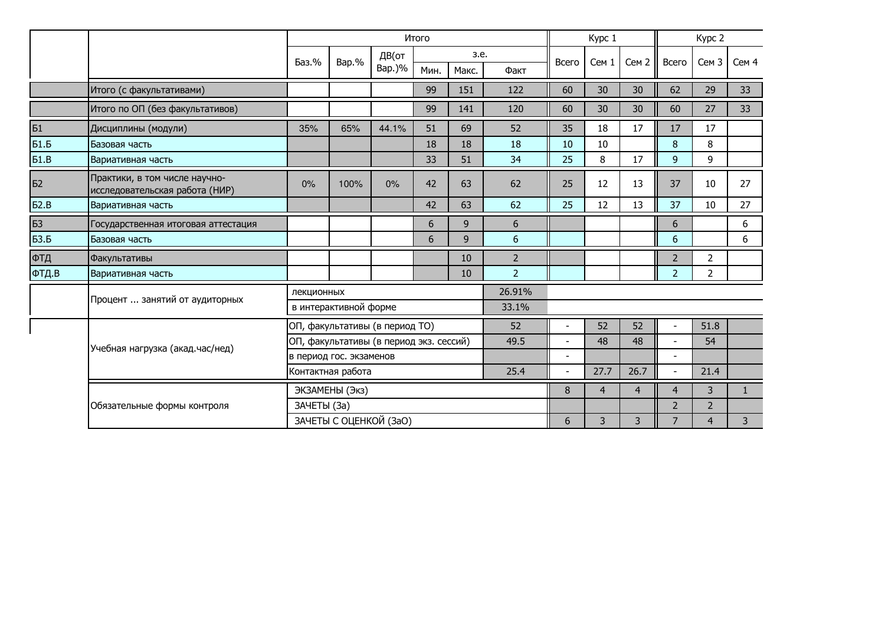|             |                                                                 |                                |                         |                                         | Итого |       |                | Kypc 1                   |                |                  | Kypc 2                   |                  |       |
|-------------|-----------------------------------------------------------------|--------------------------------|-------------------------|-----------------------------------------|-------|-------|----------------|--------------------------|----------------|------------------|--------------------------|------------------|-------|
|             |                                                                 | Баз.%                          | Bap.%                   | ДВ(от                                   | 3.e.  |       |                | Всего                    | Cem 1          | Cem <sub>2</sub> | Всего                    | Сем <sub>3</sub> | Сем 4 |
|             |                                                                 |                                |                         | Bap.)%                                  | Мин.  | Макс. | Факт           |                          |                |                  |                          |                  |       |
|             | Итого (с факультативами)                                        |                                |                         |                                         | 99    | 151   | 122            | 60                       | 30             | 30               | 62                       | 29               | 33    |
|             | Итого по ОП (без факультативов)                                 |                                |                         |                                         | 99    | 141   | 120            | 60                       | 30             | 30               | 60                       | 27               | 33    |
| Б1          | Дисциплины (модули)                                             | 35%                            | 65%                     | 44.1%                                   | 51    | 69    | 52             | 35                       | 18             | 17               | 17                       | 17               |       |
| <b>Б1.Б</b> | Базовая часть                                                   |                                |                         |                                         | 18    | 18    | 18             | 10                       | 10             |                  | 8                        | 8                |       |
| 51.B        | Вариативная часть                                               |                                |                         |                                         | 33    | 51    | 34             | 25                       | 8              | 17               | 9                        | 9                |       |
| Б2          | Практики, в том числе научно-<br>исследовательская работа (НИР) | 0%                             | 100%                    | $0\%$                                   | 42    | 63    | 62             | 25                       | 12             | 13               | 37                       | 10               | 27    |
| 52.B        | Вариативная часть                                               |                                |                         |                                         | 42    | 63    | 62             | 25                       | 12             | 13               | 37                       | 10               | 27    |
| <b>БЗ</b>   | Государственная итоговая аттестация                             |                                |                         |                                         | 6     | 9     | 6              |                          |                |                  | 6                        |                  | 6     |
| <b>БЗ.Б</b> | Базовая часть                                                   |                                |                         |                                         | 6     | 9     | 6              |                          |                |                  | 6                        |                  | 6     |
| ФТД         | <b>Факультативы</b>                                             |                                |                         |                                         |       | 10    | $\overline{2}$ |                          |                |                  | $\overline{2}$           | $\overline{2}$   |       |
| ФТД.В       | Вариативная часть                                               |                                |                         |                                         |       | 10    | $\overline{2}$ |                          |                |                  | $\overline{2}$           | $\overline{2}$   |       |
|             |                                                                 | лекционных                     |                         |                                         |       |       | 26.91%         |                          |                |                  |                          |                  |       |
|             | Процент  занятий от аудиторных                                  | в интерактивной форме<br>33.1% |                         |                                         |       |       |                |                          |                |                  |                          |                  |       |
|             |                                                                 |                                |                         | ОП, факультативы (в период ТО)          |       |       | 52             |                          | 52             | 52               |                          | 51.8             |       |
|             | Учебная нагрузка (акад.час/нед)                                 |                                |                         | ОП, факультативы (в период экз. сессий) |       |       | 49.5           |                          | 48             | 48               |                          | 54               |       |
|             |                                                                 |                                | в период гос. экзаменов |                                         |       |       |                | $\overline{\phantom{a}}$ |                |                  | $\overline{a}$           |                  |       |
|             |                                                                 |                                | Контактная работа       |                                         |       |       | 25.4           |                          | 27.7           | 26.7             | $\overline{\phantom{0}}$ | 21.4             |       |
|             |                                                                 |                                | ЭКЗАМЕНЫ (Экз)          |                                         |       |       | 8              | $\overline{4}$           | $\overline{4}$ | $\overline{4}$   | 3                        | $\mathbf{1}$     |       |
|             | Обязательные формы контроля                                     | ЗАЧЕТЫ (За)                    |                         |                                         |       |       |                |                          |                |                  | $\overline{2}$           | $\overline{2}$   |       |
|             |                                                                 | ЗАЧЕТЫ С ОЦЕНКОЙ (ЗаО)         |                         |                                         |       | 6     | 3              | 3                        | 7              | $\overline{4}$   | 3                        |                  |       |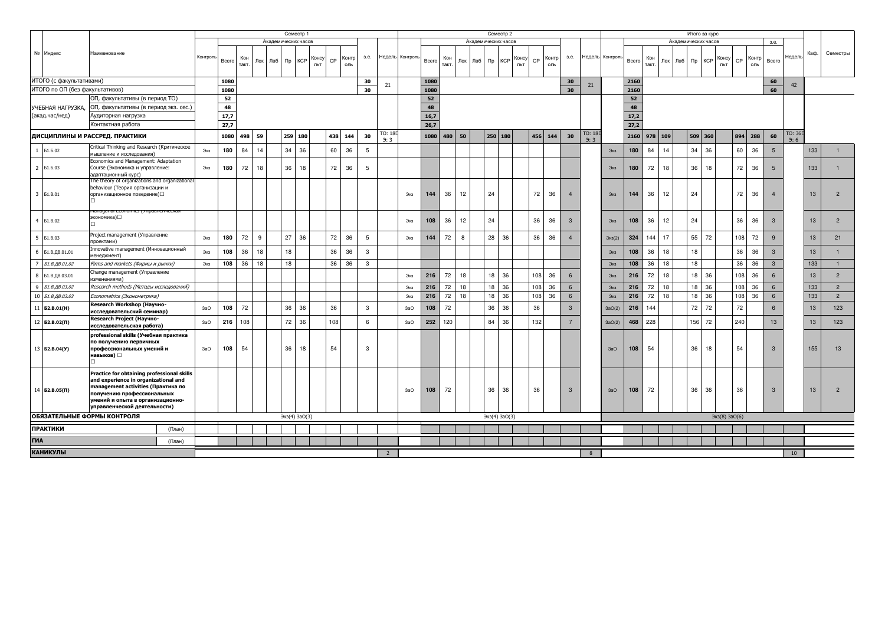|                                                                                                                                                                                                                                                      |                      |                                                                                                                 |                                       |          | Семестр 1 |              |         |                     |            |              |                    |              |                |                 |       |              | Семестр 2  |                     |                   |              |               |                           |                |      |                 |            | Итого за курс |          |                     |                   |              |               |                           |                 |                  |      |                |
|------------------------------------------------------------------------------------------------------------------------------------------------------------------------------------------------------------------------------------------------------|----------------------|-----------------------------------------------------------------------------------------------------------------|---------------------------------------|----------|-----------|--------------|---------|---------------------|------------|--------------|--------------------|--------------|----------------|-----------------|-------|--------------|------------|---------------------|-------------------|--------------|---------------|---------------------------|----------------|------|-----------------|------------|---------------|----------|---------------------|-------------------|--------------|---------------|---------------------------|-----------------|------------------|------|----------------|
|                                                                                                                                                                                                                                                      |                      |                                                                                                                 |                                       |          |           |              |         | Академических часов |            |              |                    |              |                |                 |       |              |            | Академических часов |                   |              |               |                           |                |      |                 |            |               |          | Академических часов |                   |              |               |                           | 3.e.            |                  |      |                |
|                                                                                                                                                                                                                                                      | № Индекс             | Наименование                                                                                                    |                                       | Контроль | Bcero     | Кон<br>такт. | Лек Лаб | $\n  np\n$          | <b>KCP</b> | Конс;<br>льт | Контр<br>CP<br>ОЛЬ | 3.e.         |                | Недель Контроль | Bcero | Кон<br>такт. | Лек Лаб    |                     | $\n  mp\n  KCP\n$ | Консу<br>ЛЬТ | CP            | Контр<br>ОЛЬ              | 3.e.           |      | Недель Контроль | Bcero      | Кон<br>такт.  | Лек Лаб  |                     | $\n  np\n  KCP\n$ | Консу<br>ЛЬТ | CP            | Контр<br>оль              | Bcero           | Недель           | Каф. | Семестры       |
|                                                                                                                                                                                                                                                      |                      |                                                                                                                 |                                       |          |           |              |         |                     |            |              |                    |              |                |                 |       |              |            |                     |                   |              |               |                           |                |      |                 |            |               |          |                     |                   |              |               |                           |                 |                  |      |                |
| ИТОГО (с факультативами)                                                                                                                                                                                                                             |                      |                                                                                                                 |                                       | 1080     |           |              |         |                     |            |              | 30                 | 21           |                | 1080            |       |              |            |                     |                   |              |               | 30                        | 21             |      | 2160            |            |               |          |                     |                   |              |               | 60                        | 42              |                  |      |                |
| ИТОГО по ОП (без факультативов)                                                                                                                                                                                                                      |                      |                                                                                                                 |                                       |          | 1080      |              |         |                     |            |              |                    | 30           |                |                 | 1080  |              |            |                     |                   |              |               |                           | 30             |      |                 | 2160       |               |          |                     |                   |              |               |                           | 60              |                  |      |                |
|                                                                                                                                                                                                                                                      |                      | ОП, факультативы (в период ТО)                                                                                  |                                       |          | 52        |              |         |                     |            |              |                    |              |                |                 | 52    |              |            |                     |                   |              |               |                           |                |      |                 | ${\bf 52}$ |               |          |                     |                   |              |               |                           |                 |                  |      |                |
|                                                                                                                                                                                                                                                      | УЧЕБНАЯ НАГРУЗКА,    |                                                                                                                 | ОП, факультативы (в период экз. сес.) |          | 48        |              |         |                     |            |              |                    |              |                |                 | 48    |              |            |                     |                   |              |               |                           |                |      |                 | 48         |               |          |                     |                   |              |               |                           |                 |                  |      |                |
|                                                                                                                                                                                                                                                      | (акад.час/нед)       | Аудиторная нагрузка                                                                                             |                                       |          | 17,7      |              |         |                     |            |              |                    |              |                |                 | 16,7  |              |            |                     |                   |              |               |                           |                |      |                 | 17,2       |               |          |                     |                   |              |               |                           |                 |                  |      |                |
| Контактная работа                                                                                                                                                                                                                                    |                      |                                                                                                                 | 27,7                                  |          |           |              |         |                     |            |              |                    |              | 26,7           |                 |       |              |            |                     |                   |              |               |                           |                | 27,2 |                 |            |               |          |                     |                   |              |               |                           |                 |                  |      |                |
| ДИСЦИПЛИНЫ И РАССРЕД. ПРАКТИКИ                                                                                                                                                                                                                       |                      |                                                                                                                 | 1080                                  | 498      | 59        | 259          | 180     |                     | 438<br>144 | 30           | TO: 18<br>3:3      |              | 1080           | 480             | 50    |              | 250<br>180 |                     | 456               | 144          | 30            | TO: 18<br>$\rightarrow$ 3 |                | 2160 | 978 109         |            |               | 509 360  |                     | 894               | 288          | 60            | TO: 36<br>$\rightarrow$ 6 |                 |                  |      |                |
| -1                                                                                                                                                                                                                                                   | <b>51.6.02</b>       | Critical Thinking and Research (Критическое<br>мышление и исследования)                                         |                                       | Экз      | 180       | 84           | 14      | 34                  | 36         |              | 60<br>36           | 5            |                |                 |       |              |            |                     |                   |              |               |                           |                |      | Экз             | 180        | 84            | 14       | 34                  | 36                |              | 60            | 36                        | $5\phantom{.0}$ |                  | 133  |                |
| 2                                                                                                                                                                                                                                                    | <b>51.5.03</b>       | Economics and Management: Adaptation<br>Course (Экономика и управление:                                         |                                       | Экз      | 180       | 72           | 18      | 36                  | 18         |              | 72<br>36           | 5            |                |                 |       |              |            |                     |                   |              |               |                           |                |      | Экз             | 180        | 72            | 18       |                     | 36<br>18          |              | 72            | 36                        | 5               |                  | 133  | $\overline{1}$ |
|                                                                                                                                                                                                                                                      |                      | адаптационный курс)<br>The theory of organizations and organizational                                           |                                       |          |           |              |         |                     |            |              |                    |              |                |                 |       |              |            |                     |                   |              |               |                           |                |      |                 |            |               |          |                     |                   |              |               |                           |                 |                  |      |                |
|                                                                                                                                                                                                                                                      | 3 51.B.01            | behaviour (Теория организации и<br>организационное поведение)□                                                  |                                       |          |           |              |         |                     |            |              |                    |              |                | Экз             | 144   | 36           | 12         |                     | 24                |              | 72            | 36                        | $\overline{4}$ |      | Экз             | 144        | 36            | 12       | 24                  |                   |              | 72            | 36                        |                 |                  | 13   | $\overline{2}$ |
| $\overline{4}$                                                                                                                                                                                                                                       | <b>51.B.02</b>       | экономика)□                                                                                                     |                                       |          |           |              |         |                     |            |              |                    |              |                | Экз             | 108   | 36           | 12         |                     | 24                |              | 36            | 36                        | 3              |      | Экз             | 108        | 36            | 12       | 24                  |                   |              | 36            | 36                        | $\mathbf{3}$    |                  | 13   | $\overline{2}$ |
| 5                                                                                                                                                                                                                                                    | <b>51.B.03</b>       | Project management (Управление<br>проектами)                                                                    |                                       | Экз      | 180       | 72           | 9       | 27                  | 36         |              | 72<br>36           | 5            |                | Экз             | 144   | 72           | 8          |                     | 28<br>36          |              | 36            | 36                        | $\overline{4}$ |      | $\exists$ K3(2) | 324        | 144           | 17       |                     | 55<br>72          |              | 108           | 72                        | 9               |                  | 13   | 21             |
|                                                                                                                                                                                                                                                      | 6 Б1.В.ДВ.01.01      | Innovative management (Инновационный<br>ченеджмент)                                                             |                                       | Экз      | 108       | 36           | 18      | 18                  |            |              | 36<br>36           | $\mathbf{3}$ |                |                 |       |              |            |                     |                   |              |               |                           |                |      | Экз             | 108        | 36            | 18       | 18                  |                   |              | 36            | 36                        | $\mathcal{R}$   |                  | 13   | $\mathbf{1}$   |
| $\overline{7}$                                                                                                                                                                                                                                       | Б1.В.ДВ.01.02        | Firms and markets (Фирмы и рынки)                                                                               |                                       | Экз      | 108       | 36           | 18      | 18                  |            |              | 36<br>36           | $\mathbf{3}$ |                |                 |       |              |            |                     |                   |              |               |                           |                |      | Экз             | 108        | 36            | 18       | 18                  |                   |              | 36            | 36                        | $\mathbf{3}$    |                  | 133  | $\mathbf{1}$   |
| 8                                                                                                                                                                                                                                                    | Б1.В.ДВ.03.01        | Change management (Управление<br>изменениями)                                                                   |                                       |          |           |              |         |                     |            |              |                    |              |                | Экз             | 216   | 72           | 18         |                     | 18 36             |              | 108           | 36                        | 6              |      | Экз             | 216        | 72            | 18       |                     | 18 36             |              | 108           | 36                        | 6               |                  | 13   | $\overline{2}$ |
| $\overline{9}$                                                                                                                                                                                                                                       | Б1.В.ДВ.03.02        | Research methods (Методы исследований)                                                                          |                                       |          |           |              |         |                     |            |              |                    |              |                | Экз             | 216   | 72           | 18         |                     | 36<br>18          |              | 108           | 36                        | 6              |      | Экз             | 216        | 72            | 18       |                     | 18<br>36          |              | 108           | 36                        | 6               |                  | 133  | $\overline{2}$ |
| 10                                                                                                                                                                                                                                                   | Б1.В.ДВ.03.03        | Econometrics (Эконометрика)                                                                                     |                                       |          |           |              |         |                     |            |              |                    |              |                | Экз             | 216   | 72           | 18         |                     | 18                | 36           | 108           | 36                        | $6\phantom{1}$ |      | Экз             | 216        | 72            | 18       | 18                  | 36                |              | 108           | 36                        | 6               |                  | 133  | $2^{\circ}$    |
| $11\,$                                                                                                                                                                                                                                               | 62.B.01(H)           | Research Workshop (Научно-<br>исследовательский семинар)<br>Research Project (Научно-                           |                                       | 3aO      | 108       | 72           |         | 36                  | 36         |              | 36                 | $\mathbf{3}$ |                | 3aO             | 108   | 72           |            |                     | 36<br>36          |              | 36            |                           | 3              |      | 3aO(2)          | 216        | 144           |          |                     | 72<br>72          |              | 72            |                           | 6               |                  | 13   | 123            |
| $12\,$                                                                                                                                                                                                                                               | $52.B.02(\Pi)$       | исследовательская работа)                                                                                       |                                       | 3aO      | 216       | 108          |         | 72                  | 36         |              | 108                | 6            |                | 3aO             | 252   | 120          |            |                     | 36<br>84          |              | 132           |                           |                |      | 3aO(2)          | 468        | 228           |          |                     | 156<br>72         |              | 240           |                           | 13              |                  | 13   | 123            |
|                                                                                                                                                                                                                                                      | 13 <b>62.B.04(Y)</b> | professional skills (Учебная практика<br>по получению первичных<br>профессиональных умений и<br>навыков) $\Box$ |                                       | 3aO      | 108       | 54           |         | 36                  | 18         |              | 54                 | 3            |                |                 |       |              |            |                     |                   |              |               |                           |                |      | 3aO             | 108        | 54            |          |                     | 36<br>18          |              | 54            |                           | 3               |                  | 155  | 13             |
| Practice for obtaining professional skills<br>and experience in organizational and<br>management activities (Практика по<br>$14$ <b>62.8.05(N)</b><br>получению профессиональных<br>умений и опыта в организационно-<br>управленческой деятельности) |                      |                                                                                                                 |                                       |          |           |              |         |                     |            |              |                    | 3aO          | 108            | 72              |       |              | 36<br>36   |                     | 36                |              | $\mathcal{R}$ |                           | 3aO            | 108  | 72              |            |               | 36<br>36 |                     | 36                |              | $\mathcal{R}$ |                           | 13              | $\overline{2}$   |      |                |
| ОБЯЗАТЕЛЬНЫЕ ФОРМЫ КОНТРОЛЯ                                                                                                                                                                                                                          |                      |                                                                                                                 |                                       |          |           |              |         | 3k3(4)3a0(3)        |            |              |                    |              | Экз(4) ЗаО(3)  |                 |       |              |            |                     |                   |              |               |                           |                |      | Экз(8) ЗаО(6)   |            |               |          |                     |                   |              |               |                           |                 |                  |      |                |
| <b>ПРАКТИКИ</b><br>(План)                                                                                                                                                                                                                            |                      |                                                                                                                 |                                       |          |           |              |         |                     |            |              |                    |              |                |                 |       |              |            |                     |                   |              |               |                           |                |      |                 |            |               |          |                     |                   |              |               |                           |                 |                  |      |                |
| ГИА<br>(План)                                                                                                                                                                                                                                        |                      |                                                                                                                 |                                       |          |           |              |         |                     |            |              |                    |              |                |                 |       |              |            |                     |                   |              |               |                           |                |      |                 |            |               |          |                     |                   |              |               |                           |                 |                  |      |                |
| <b>КАНИКУЛЫ</b>                                                                                                                                                                                                                                      |                      |                                                                                                                 |                                       |          |           |              |         |                     |            |              |                    |              | $\overline{2}$ |                 |       |              |            |                     |                   |              |               |                           |                | 8    |                 |            |               |          |                     |                   |              |               |                           |                 | 10 <sup>10</sup> |      |                |
|                                                                                                                                                                                                                                                      |                      |                                                                                                                 |                                       |          |           |              |         |                     |            |              |                    |              |                |                 |       |              |            |                     |                   |              |               |                           |                |      |                 |            |               |          |                     |                   |              |               |                           |                 |                  |      |                |